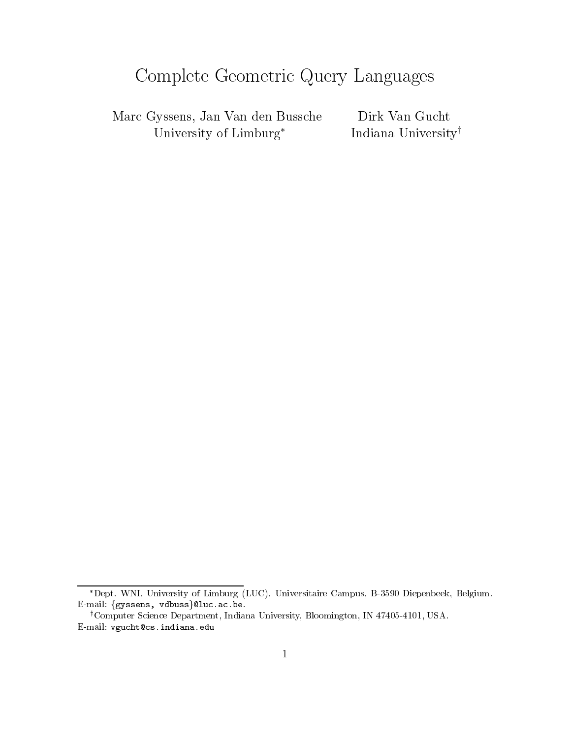# Complete Geometric Query Languages

marc Gyster Gyster Jan den Busschen Busschen der Busschen der Busschen der Busschen der Busschen der Busschen University of Limburg\*

 $\overline{\text{I}}$  of Limburg\* Indiana University<sup>†</sup>

<sup>-</sup>Dept. WNI, University of Limburg (LUC), Universitaire Campus, B-3990 Diepenbeek, Belgium. b-mail (gyssens, vdbuss)@luc.ac.be

U Computer Science Department, Indiana University, Bloomington, IN 47405-4101, USA. educhtch v gwelede de la elektronic war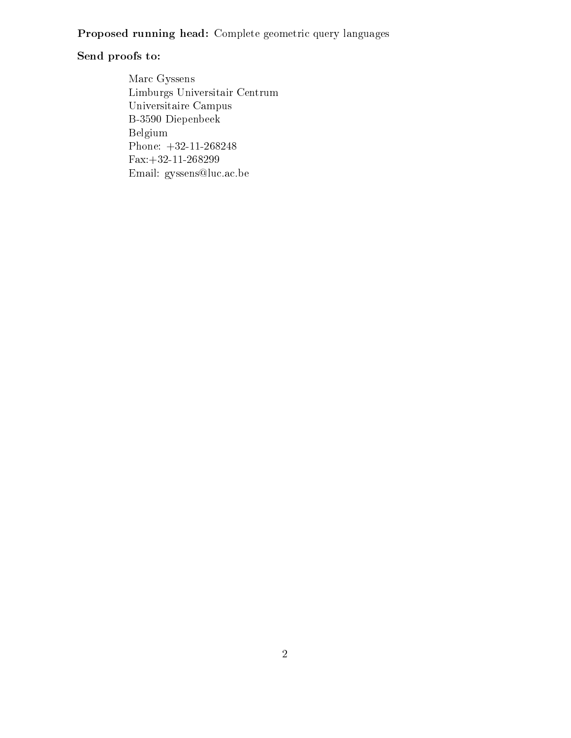### Proposed running head Complete geometric query languages

### Send proofs to

Marc Gyssens Limburgs Universitair Centrum Universitaire Campus — <u>. . . . — . . . . . . . . . .</u> Belgium Phone - Fax: The contract of the contract of the contract of the contract of the contract of the contract of the contract of the contract of the contract of the contract of the contract of the contract of the contract of the contr Email: gyssens@luc.ac.be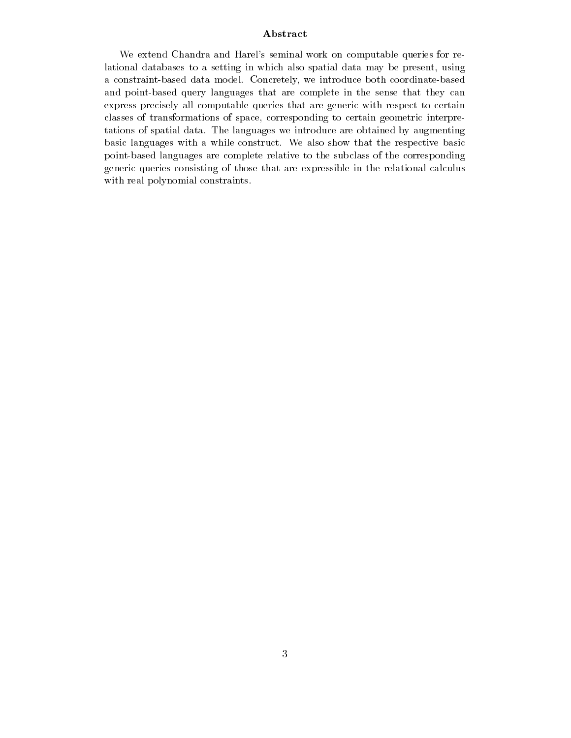### Abstract

We extend Chandra and Harel's seminal work on computable queries for relational databases to a setting in which also spatial data may be present- using a constraint control antico model Concretely- we introduce both coordinates concrete based of and point-based query languages that are complete in the sense that they can express precisely all computable queries that are generic with respect to certain classes of transformations of space- corresponding to certain geometric interpre tations of spatial data The languages we introduce are obtained by augmenting basic languages with a while construct. We also show that the respective basic point-based languages are complete relative to the subclass of the corresponding generic queries consisting of those that are expressible in the relational calculus with real polynomial constraints.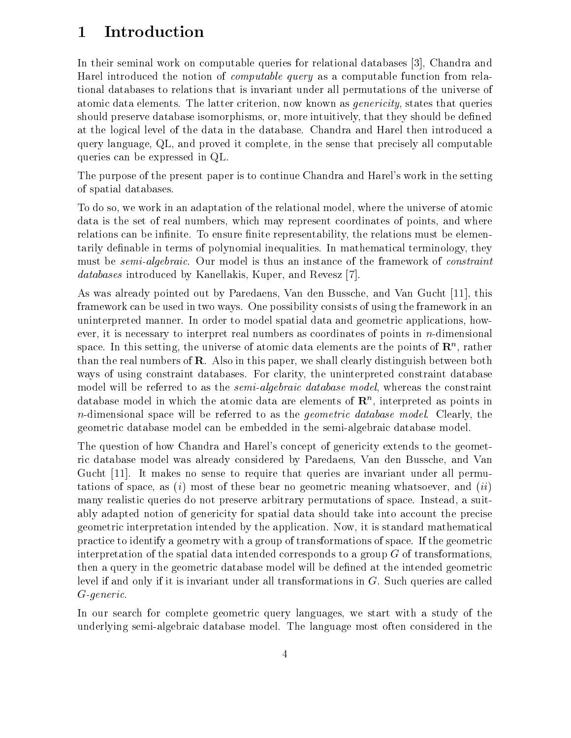### $\mathbf{1}$ Introduction

In their seminal work on computable queries for relational databases - Chandra and Harel introduced the notion of *computable query* as a computable function from relational databases to relations that is invariant under all permutations of the universe of atomic data elements. The latter criterion, now known as *genericity*, states that queries should preserve database isomorphisms, or, more intuitively, that they should be defined at the logical level of the data in the database Chandra and Harel then introduced a query language,  $Q<sub>L</sub>$ , and proved it complete, in the sense that precisely all computable queries can be expressed in QL

The purpose of the present paper is to continue Chandra and Harel's work in the setting of spatial databases

To do so, we work in an adaptation of the relational model, where the universe of atomic data is the set of real numbers, which may represent coordinates of points, and where relations can be infinite. To ensure finite representability, the relations must be elementarily definable in terms of polynomial inequalities. In mathematical terminology, they must be *semi-algebraic*. Our model is thus an instance of the framework of *constraint* databases introduced by Kanellakis, Kuper, and Revesz [7].

As was already pointed out by Paredaens, Van den Bussche, and Van Gucht [11], this framework can be used in two ways One possibility consists of using the framework in an uninterpreted manner In order to model spatial data and geometric applications how ever, it is necessary to interpret real numbers as coordinates of points in  $n$ -dimensional space. In this setting, the universe of atomic data elements are the points of  $\mathbf{R}^n$ , rather than the real numbers of  $\bf R$ . Also in this paper, we shall clearly distinguish between both ways of using constraint databases. For clarity, the uninterpreted constraint database model will be referred to as the *semi-algebraic database model*, whereas the constraint database model in which the atomic data are elements of  ${\rm \bf R}^n$ , interpreted as points in  $n$ -dimensional space will be referred to as the *geometric database model*. Clearly, the geometric database model can be embedded in the semi-algebraic database model.

The question of how Chandra and Harel's concept of genericity extends to the geometric database model was already considered by Paredaens, Van den Bussche, and Van Gucht [11]. It makes no sense to require that queries are invariant under all permutations of space, as  $(i)$  most of these bear no geometric meaning whatsoever, and  $(ii)$ many realistic queries do not preserve arbitrary permutations of space. Instead, a suitably adapted notion of genericity for spatial data should take into account the precise geometric interpretation intended by the application Now it is standard mathematical practice to identify a geometry with a group of transformations of space If the geometric interpretation of the spatial data intended corresponds to a group  $G$  of transformations, then a query in the geometric database model will be defined at the intended geometric level if and only if it is invariant under all transformations in  $G$ . Such queries are called  $G$ -generic.

In our search for complete geometric query languages, we start with a study of the underlying semi-algebraic database model. The language most often considered in the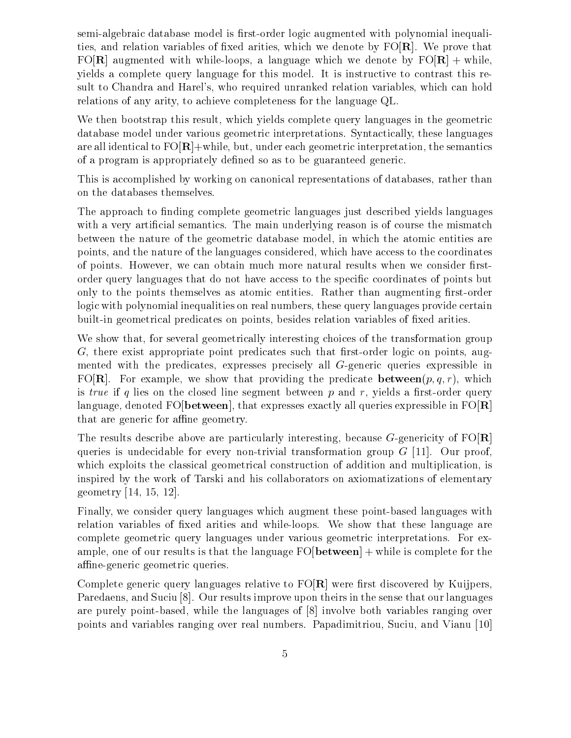semi-algebraic database model is first-order logic augmented with polynomial inequalities, and relation variables of fixed arities, which we denote by  $F\{O\}R$ . We prove that FOR augmented with while-loops, a language which we denote by  $FO[R] +$  while, yields a complete query language for this model It is instructive to contrast this re sult to Chandra and Harel's, who required unranked relation variables, which can hold relations of any arity to achieve completeness for the language QL

We then bootstrap this result, which yields complete query languages in the geometric database model under various geometric interpretations. Syntactically, these languages are all identical to  $FO[\mathbf{R}]$ +while, but, under each geometric interpretation, the semantics of a program is appropriately dened so as to be guaranteed generic

This is accomplished by working on canonical representations of databases, rather than on the databases themselves

The approach to finding complete geometric languages just described yields languages with a very artificial semantics. The main underlying reason is of course the mismatch between the nature of the geometric database model in which the atomic entities are points, and the nature of the languages considered, which have access to the coordinates of points. However, we can obtain much more natural results when we consider firstorder query languages that do not have access to the specific coordinates of points but only to the points themselves as atomic entities. Rather than augmenting first-order logic with polynomial inequalities on real numbers, these query languages provide certain built-in geometrical predicates on points, besides relation variables of fixed arities.

We show that, for several geometrically interesting choices of the transformation group  $G$ , there exist appropriate point predicates such that first-order logic on points, augmented with the predicates, expresses precisely all  $G$ -generic queries expressible in FO[R]. For example, we show that providing the predicate between  $(p, q, r)$ , which is true if q lies on the closed line segment between p and r, yields a first-order query language, denoted FO $\left[\text{between}\right]$ , that expresses exactly all queries expressible in FO $\left[\text{R}\right]$ that are generic for affine geometry.

The results describe above are particularly interesting, because  $G$ -genericity of  $FO[**R**]$ queries is undecidable for every non-trivial transformation group  $G$  [11]. Our proof, which exploits the classical geometrical construction of addition and multiplication, is inspired by the work of Tarski and his collaborators on axiomatizations of elementary geometry  $[14, 15, 12]$ .

Finally, we consider query languages which augment these point-based languages with relation variables of fixed arities and while-loops. We show that these language are complete geometric query languages under various geometric interpretations For ex ample, one of our results is that the language  $FO[\textbf{between}] + \text{while}$  is complete for the affine-generic geometric queries.

Complete generic query languages relative to  $FO[**R**]$  were first discovered by Kuijpers, Paredaens and Suciu Our results improve upon theirs in the sense that our languages are purely point which the languages of the languages of the languages of the language over  $\alpha$ points and variables ranging over real numbers. Papadimitriou, Suciu, and Vianu [10]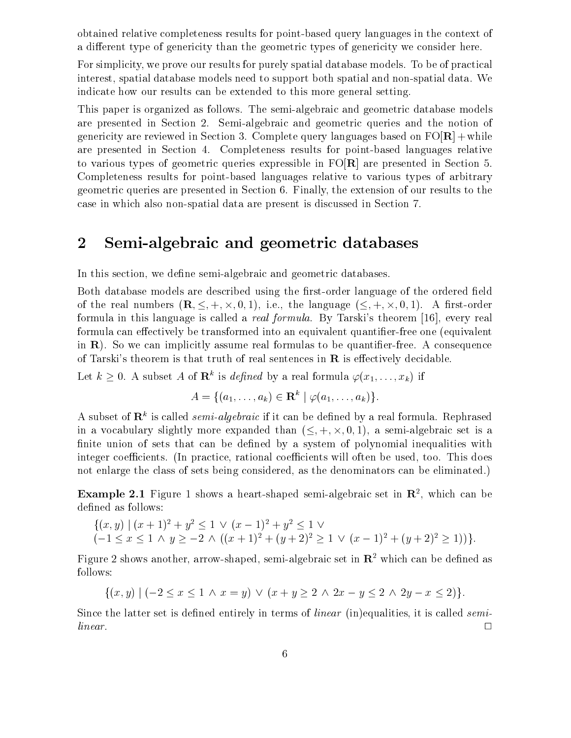obtained relative completeness results for point-based query languages in the context of a different type of genericity than the geometric types of genericity we consider here.

For simplicity, we prove our results for purely spatial database models. To be of practical interest, spatial database models need to support both spatial and non-spatial data. We indicate how our results can be extended to this more general setting

This paper is organized as follows. The semi-algebraic and geometric database models are presented in Section 2. Semi-algebraic and geometric queries and the notion of genericity are reviewed in Section - A complete query languages based on FOR 2012 1 While the complete and the are presented in Section 4. Completeness results for point-based languages relative to various types of geometric queries expressible in  $F\{O[R] \text{ are presented in Section 5.}$ Completeness results for point-based languages relative to various types of arbitrary geometric queries are presented in Section 6. Finally, the extension of our results to the case in which also non-spatial data are present is discussed in Section 7.

## Semi-algebraic and geometric databases

In this section, we define semi-algebraic and geometric databases.

Both database models are described using the first-order language of the ordered field of the real numbers  $(\mathbf{R}, \leq, +, \times, 0, 1)$ , i.e., the language  $(\leq, +, \times, 0, 1)$ . A first-order formula in this language is called a *real formula*. By Tarski's theorem  $[16]$ , every real formula can effectively be transformed into an equivalent quantifier-free one (equivalent in  $\bf{R}$ ). So we can implicitly assume real formulas to be quantifier-free. A consequence of Tarski's theorem is that truth of real sentences in  $R$  is effectively decidable.

Let  $\kappa \geq 0$ . A subset A of  $\mathbf{R}^*$  is *defined* by a real formula  $\varphi(x_1,\ldots,x_k)$  if

$$
A = \{(a_1,\ldots,a_k) \in \mathbf{R}^k \mid \varphi(a_1,\ldots,a_k)\}.
$$

A subset of  $\mathbf{R}^*$  is called  $semi\text{-}aigen$  if it can be defined by a real formula. Rephrased in a vocabulary slightly more expanded than  $(\leq, +, \times, 0, 1)$ , a semi-algebraic set is a finite union of sets that can be defined by a system of polynomial inequalities with integer coefficients. (In practice, rational coefficients will often be used, too. This does not enlarge the class of sets being considered, as the denominators can be eliminated.)

 $\bf{EXAMPLE~2.1}$  rigure 1 shows a heart-shaped semi-algebraic set in  $\bf{R}^+$ , which can be defined as follows:

ned as follows:  
\n{
$$
(x, y) | (x + 1)^2 + y^2 \le 1 \lor (x - 1)^2 + y^2 \le 1 \lor
$$
  
\n( $-1 \le x \le 1 \land y \ge -2 \land ((x + 1)^2 + (y + 2)^2 \ge 1 \lor (x - 1)^2 + (y + 2)^2 \ge 1)$  }.

Figure 2 shows another, arrow-shaped, semi-algebraic set in  $\mathbb{R}^2$  which can be defined as follows

$$
\{(x,y) | (-2 \le x \le 1 \land x = y) \lor (x+y \ge 2 \land 2x - y \le 2 \land 2y - x \le 2)\}.
$$

Since the latter set is defined entirely in terms of *linear* (in)equalities, it is called *semi*- $\Box$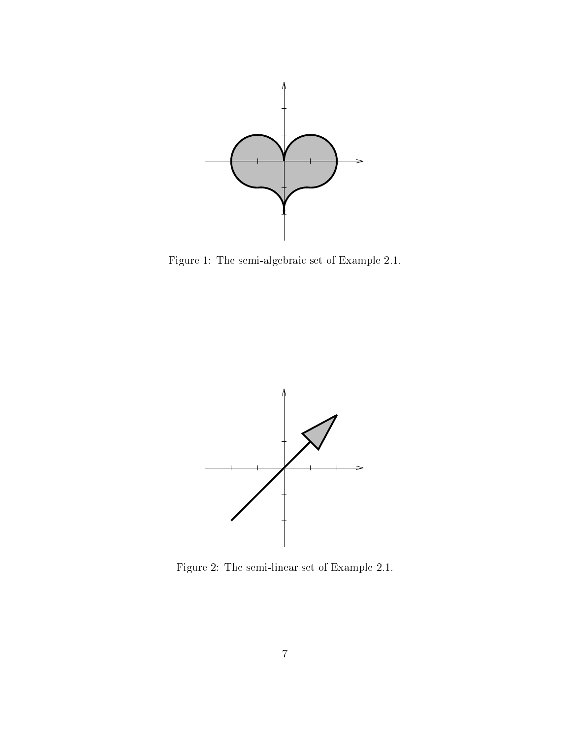

Figure 1: The semi-algebraic set of Example 2.1.



Figure 2: The semi-linear set of Example 2.1.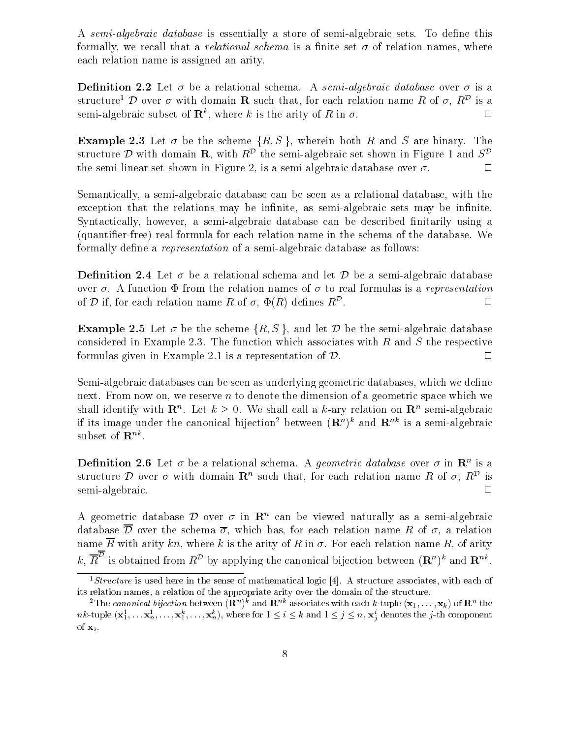A semi-algebraic database is essentially a store of semi-algebraic sets. To define this formally, we recall that a *relational schema* is a finite set  $\sigma$  of relation names, where each relation name is assigned an arity

<u>semition state</u> and a relation contract the content of a seminal and a seminal schematic direction of the content structure  $\nu$  over  $\sigma$  with domain  ${\bf R}$  such that, for each relation name  $R$  of  $\sigma, \, R^*$  is a  $\Box$ semi-algebraic subset of  $\mathbf{R}^n$ , where k is the arity of R in  $\sigma$ .

**Example 2.5** Let  $\sigma$  be the scheme  $\{R, S\}$ , wherein both  $R$  and  $S$  are binary. The structure  $\nu$  with domain  $\kappa$ , with  $\kappa^-$  the semi-algebraic set shown in Figure 1 and  $S^$ the semi-linear set shown in Figure 2, is a semi-algebraic database over  $\sigma$ .  $\Box$ 

Semantically, a semi-algebraic database can be seen as a relational database, with the exception that the relations may be infinite, as semi-algebraic sets may be infinite. Syntactically, however, a semi-algebraic database can be described finitarily using a (quantifier-free) real formula for each relation name in the schema of the database. We formally define a *representation* of a semi-algebraic database as follows:

**Dennition 2.4** Let  $\sigma$  be a relational schema and let  $\nu$  be a semi-algebraic database over  $\sigma$ . A function  $\Phi$  from the relation names of  $\sigma$  to real formulas is a representation of  $D$  if, for each relation name R of  $\sigma$ ,  $\Phi(R)$  defines  $R^{\mathcal{D}}$ .  $\Box$ 

**Example 2.5** Let  $\sigma$  be the scheme  $\{R, S\}$ , and let  $D$  be the semi-algebraic database considered in Example 2019, Example 2019, The function with respective with R and S the respective to respect the respective of the respective of the respective of the respective of the respective of the respective of the formulas given in Example 2.1 is a representation of  $\mathcal{D}$ .

Semi-algebraic databases can be seen as underlying geometric databases, which we define next. From now on, we reserve *n* to denote the dimension of a geometric space which we shall identify with  ${\bf R}^n$ . Let  $\kappa \geq 0$ . We shall call a  $\kappa$ -ary relation on  ${\bf R}^n$  semi-algebraic if its image under the canonical bijection between  $(\mathbf{R}^n)^\ast$  and  $\mathbf{R}^m$  is a semi-algebraic subset of  $\mathbf{R}^{nk}$ .

**Dennition 2.6** Let  $\sigma$  be a relational schema. A *geometric database* over  $\sigma$  in  $\kappa$  is a structure  $\nu$  over  $\sigma$  with domain  ${\bf R}^n$  such that, for each relation name  $R$  of  $\sigma,\ R^m$  is semi-algebraic.  $\Box$ 

A geometric database  $\nu$  over  $\sigma$  in  ${\bf K}^\circ$  can be viewed naturally as a semi-algebraic database  $\overline{\mathcal{D}}$  over the schema  $\overline{\sigma}$ , which has, for each relation name R of  $\sigma$ , a relation name  $\overline{R}$  with arity kn, where k is the arity of R in  $\sigma$ . For each relation name R, of arity k, R<sup>-</sup> is obtained from  $R^{\nu}$  by applying the canonical bijection between  $({\bf R}^n)^k$  and  ${\bf R}^{n_k}$ .

 $\sim$  *Structure* is used here in the sense of mathematical logic  $|4|$ . A structure associates, with each of its relation names a relation of the appropriate arity over the domain of the structure

The canonical bijection between  $({\bf R}^n)^n$  and  ${\bf R}^n$  associates with each k-tuple  $({\bf x}_1,\ldots,{\bf x}_k)$  of  ${\bf R}^n$  the *nk*-tuple  $(x_1, \ldots x_n, \ldots, x_1, \ldots, x_n)$ , where for  $1 \leq i \leq k$  and  $1 \leq j \leq n$ ,  $x_j$  denotes the *j*-th component of  $\mathbf{x}_i$ .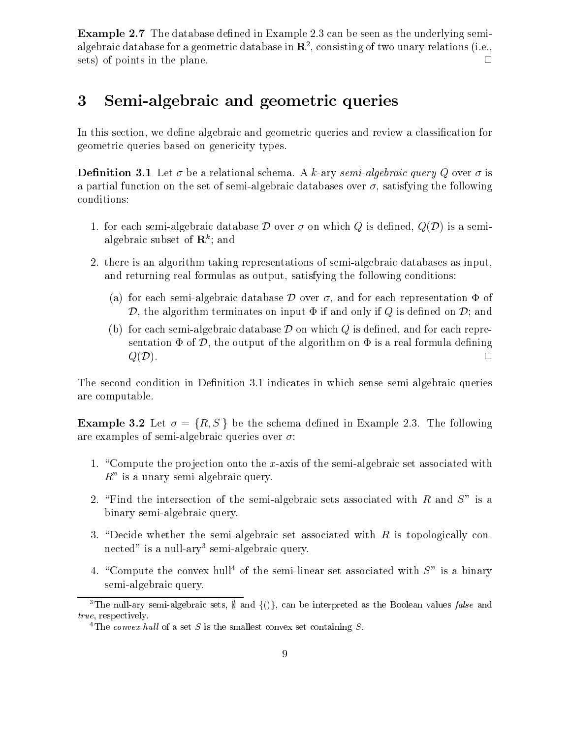Example - The database dened in Example 
- can be seen as the underlying semi algebraic database for a geometric database in  ${\bf n}$  , consisting of two unary relations (i.e.,  $$ sets) of points in the plane.  $\Box$ 

### Semi-algebraic and geometric queries

In this section, we define algebraic and geometric queries and review a classification for geometric queries based on genericity types

a contration - Let is a relation of the schematic contration of the seminalgebraic query  $\mathcal{A}_1$  over  $\mathcal{A}_2$  , where  $\mathcal{A}_3$ a partial function on the set of semi-algebraic databases over  $\sigma$ , satisfying the following conditions

- 1. for each semi-algebraic database D over  $\sigma$  on which Q is defined,  $Q(\mathcal{D})$  is a semialgebraic subset of  $\mathbf{R}^n$ ; and
- 2. there is an algorithm taking representations of semi-algebraic databases as input, and returning real formulas as output, satisfying the following conditions:
	- (a) for each semi-algebraic database  $\mathcal D$  over  $\sigma$ , and for each representation  $\Phi$  of  $\mathcal{D}$ , the algorithm terminates on input  $\Phi$  if and only if Q is defined on  $\mathcal{D}$ ; and
	- (b) for each semi-algebraic database  $\mathcal D$  on which  $Q$  is defined, and for each representation  $\Phi$  of  $\mathcal{D}$ , the output of the algorithm on  $\Phi$  is a real formula defining QD

The second condition in Denition - indicates in which sense semialgebraic queries are computable

**Example 3.2** Let  $\sigma = \{R, S\}$  be the schema defined in Example 2.3. The following are examples of semi-algebraic queries over  $\sigma$ .

- 1. "Compute the projection onto the x-axis of the semi-algebraic set associated with  $R$ " is a unary semi-algebraic query.
- 2. "Find the intersection of the semi-algebraic sets associated with R and  $S$ " is a binary semi-algebraic query.
- Decide whether the semialgebraic set associated with R is topologically con nected is a null-ary-semi-algebraic query.
- 4. "Compute the convex hull<sup>4</sup> of the semi-linear set associated with  $S^"$  is a binary semi-algebraic query.

<sup>-</sup>The null-ary semi-algebraic sets,  $\psi$  and  $\{\left(\right)\}$ , can be interpreted as the Boolean values *false* and  $true$ , respectively.

<sup>&</sup>lt;sup>4</sup>The *convex hull* of a set S is the smallest convex set containing S.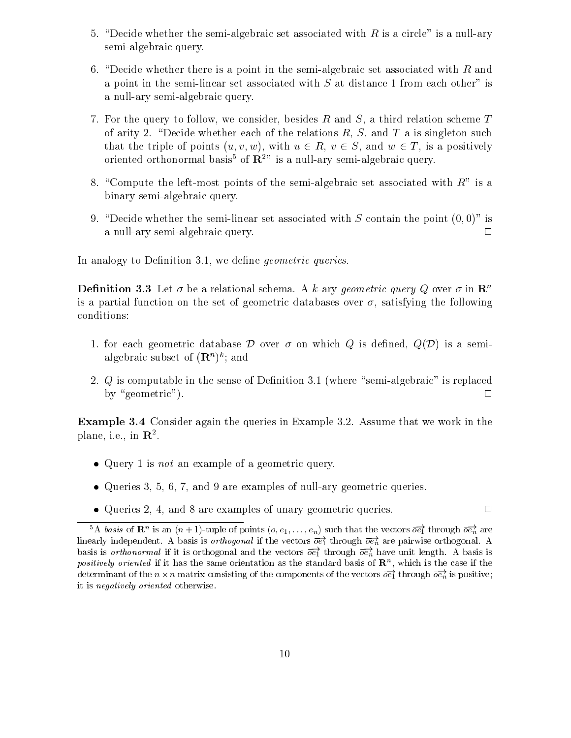- 5. "Decide whether the semi-algebraic set associated with R is a circle" is a null-ary semi-algebraic query.
- 6. "Decide whether there is a point in the semi-algebraic set associated with  $R$  and a point in the semi-linear set associated with  $S$  at distance 1 from each other" is a null-ary semi-algebraic query.
- 7. For the query to follow, we consider, besides R and  $S$ , a third relation scheme T of arity 2. "Decide whether each of the relations  $R, S$ , and  $T$  a is singleton such that the triple of points  $(u, v, w)$ , with  $u \in R$ ,  $v \in S$ , and  $w \in T$ , is a positively oriented orthonormal basis<sup>5</sup> of  $\mathbb{R}^{2n}$  is a null-ary semi-algebraic query.
- Compute the leftmost points of the semialgebraic set associated with R is a binary semi-algebraic query.
- 9. "Decide whether the semi-linear set associated with S contain the point  $(0,0)$ " is a null-ary semi-algebraic query.  $\Box$

In analogy to Denition - we dene geometric queries

**Dennition 3.3** Let  $\sigma$  be a relational schema. A k-ary geometric query Q over  $\sigma$  in  $\mathbf{R}^n$ is a partial function on the set of geometric databases over  $\sigma$ , satisfying the following conditions

- 1. for each geometric database  $\mathcal D$  over  $\sigma$  on which Q is defined,  $Q(\mathcal D)$  is a semialgebraic subset of  $(\mathbf{R}^n)^n$ ; and
- Q is computable in the sense of Denition where semialgebraic is replaced by "geometric").  $\Box$

Example of a consider again the queries in Example of a rase and the state in the three plane, i.e., in  $\mathbb{R}^2$ .

- $\bullet$  Query 1 is not an example of a geometric query.
- $\bullet$  Queries 5, 5, 6, 7, and 9 are examples of null-ary geometric queries.
- $\bullet$  Queries 2, 4, and 8 are examples of unary geometric queries.  $\Box$

 $\Box$ 

<sup>&</sup>lt;sup>5</sup>A basis of  $\mathbb{R}^n$  is an  $(n+1)$ -tuple of points  $(o, e_1, \ldots, e_n)$  such that the vectors  $\overline{oe_1}$  through  $\overline{oe_n}$  are linearly independent. A basis is *orthogonal* if the vectors  $\overline{oe}$  through  $\overline{oe}$  are pairwise orthogonal. A basis is *orthonormal* if it is orthogonal and the vectors  $\overline{o}\overline{e_1}$  through  $\overline{o}\overline{e_n}$  have unit length. A basis is  $\it postutvey$  oriented if it has the same orientation as the standard basis of  ${\bf R}^n,$  which is the case if the determinant of the  $n \times n$  matrix consisting of the components of the vectors  $\overline{oe_1^2}$  through  $\overline{oe_n^2}$  is positive; it is negatively oriented otherwise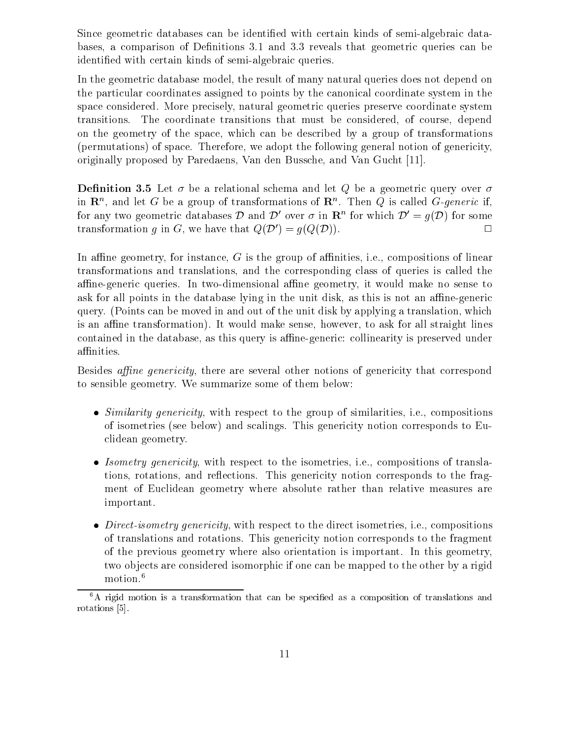Since geometric databases can be identified with certain kinds of semi-algebraic databases a comparison of Denitions - and -- reveals that geometric queries can be identified with certain kinds of semi-algebraic queries.

In the geometric database model, the result of many natural queries does not depend on the particular coordinates assigned to points by the canonical coordinate system in the space considered More precisely natural geometric queries preserve coordinate system transitions. The coordinate transitions that must be considered, of course, depend on the geometry of the space, which can be described by a group of transformations (permutations) of space. Therefore, we adopt the following general notion of genericity, originally proposed by Paredaens Van den Bussche and Van Gucht

be changed and the schema and controlled and let  $\alpha$  be a geometric query over  $\alpha$ in  $\mathbf{R}^n$ , and let  $G$  be a group of transformations of  $\mathbf{R}^n$ . Then  $Q$  is called  $G$ -generic if, for any two geometric databases  $\nu$  and  $\nu$  over  $\sigma$  in  ${\bf K}^{\cdots}$  for which  $\nu \equiv q(\nu)$  for some transformation g in G, we have that  $Q(\mathcal{D}') = g(Q(\mathcal{D}))$ .

In affine geometry, for instance,  $G$  is the group of affinities, i.e., compositions of linear transformations and translations and the corresponding class of queries is called the affine-generic queries. In two-dimensional affine geometry, it would make no sense to ask for all points in the database lying in the unit disk, as this is not an affine-generic query. (Points can be moved in and out of the unit disk by applying a translation, which is an affine transformation). It would make sense, however, to ask for all straight lines contained in the database, as this query is affine-generic: collinearity is preserved under affinities.

Besides a-ne genericity there are several other notions of genericity that correspond to sensible geometry We summarize some of them below

- $\bullet$  *Similarity genericity*, with respect to the group of similarities, i.e., compositions of isometries (see below) and scalings. This genericity notion corresponds to Euclidean geometry
- $\bullet$  *isometry genericity*, with respect to the isometries, i.e., compositions of translations, rotations, and reflections. This genericity notion corresponds to the fragment of Euclidean geometry where absolute rather than relative measures are important
- $\bullet$   $\emph{Direct-isometry}$  genericity, with respect to the direct isometries, i.e., compositions of translations and rotations This genericity notion corresponds to the fragment of the previous geometry where also orientation is important In this geometry two objects are considered isomorphic if one can be mapped to the other by a rigid motion.<sup>6</sup>

 ${}^{6}$ A rigid motion is a transformation that can be specified as a composition of translations and rotations [5].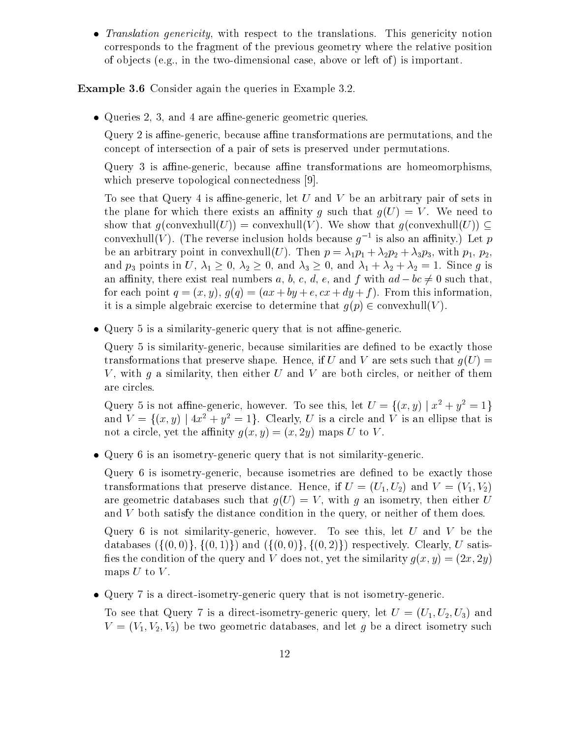$\bullet$  *Translation genericity*, with respect to the translations. This genericity notion corresponds to the fragment of the previous geometry where the relative position of objects (e.g., in the two-dimensional case, above or left of) is important.

Example - Consider again the queries in Example -

 $\bullet$  Queries  $\angle$ ,  $\circ$ , and  $\div$  are amine-generic geometric queries.

Query 2 is affine-generic, because affine transformations are permutations, and the concept of intersection of a pair of sets is preserved under permutations

Query - is anegeneric because ane transformations are homeomorphisms which preserve topological connectedness [9].

To see that Query 4 is affine-generic, let U and V be an arbitrary pair of sets in the plane for which there exists an affinity g such that  $g(U) = V$ . We need to show that  $g(\text{convexhull}(U)) = \text{convexhull}(V)$ . We show that  $g(\text{convexhull}(U)) \subseteq$ convexhully  $\mu$ , the reverse inclusion holds because  $q$  is also an animity, let  $p$ be an arbitrary point in convexhullU Then <sup>p</sup> p p -p- with p p and  $p_3$  points in U,  $\lambda_1 \geq 0$ ,  $\lambda_2 \geq 0$ , and  $\lambda_3 \geq 0$ , and  $\lambda_1 + \lambda_2 + \lambda_2 = 1$ . Since g is an affinity, there exist real numbers a, b, c, d, e, and f with  $ad - bc \neq 0$  such that, for each point  $q = (x, y), g(q) = (ax + by + e, cx + dy + f)$ . From this information, it is a simple algebraic exercise to determine that  $g(p) \in \text{convexhull}(V)$ .

 $\bullet$  Query  $\circ$  is a similarity-generic query that is not amne-generic.

Query 5 is similarity-generic, because similarities are defined to be exactly those transformations that preserve shape. Hence, if U and V are sets such that  $q(U)$  = V, with g a similarity, then either U and V are both circles, or neither of them are circles

Query 5 is not affine-generic, however. To see this, let  $U = \{(x, y) | x^2 + y^2 = 1\}$ and  $V = \{(x, y) | 4x^2 + y^2 = 1\}$ . Clearly, U is a circle and V is an ellipse that is not a circle, yet the affinity  $g(x, y) = (x, 2y)$  maps U to V.

 $\bullet$  Query  $\circ$  is an isometry-generic query that is not similarity-generic.

Query 6 is isometry-generic, because isometries are defined to be exactly those transformations that preserve distance. Hence, if  $U = (U_1, U_2)$  and  $V = (V_1, V_2)$ are geometric databases such that  $g(U) = V$ , with g an isometry, then either U and  $V$  both satisfy the distance condition in the query, or neither of them does.

Query 6 is not similarity-generic, however. To see this, let  $U$  and  $V$  be the databases  $({(0,0)}, {(0,1)})$  and  $({(0,0)}, {(0,2)})$  respectively. Clearly, U satisfies the condition of the query and V does not, yet the similarity  $g(x, y) = (2x, 2y)$ maps  $U$  to  $V$ .

 $\bullet$  Query  $\iota$  is a direct-isometry-generic query that is not isometry-generic.

To see that Query is a directisometrygeneric query let U U U U- and  $V = V + \frac{1}{2}$  be a direct isometric databases and let g be a direct isometric isometric isometric isometric isometric isometric in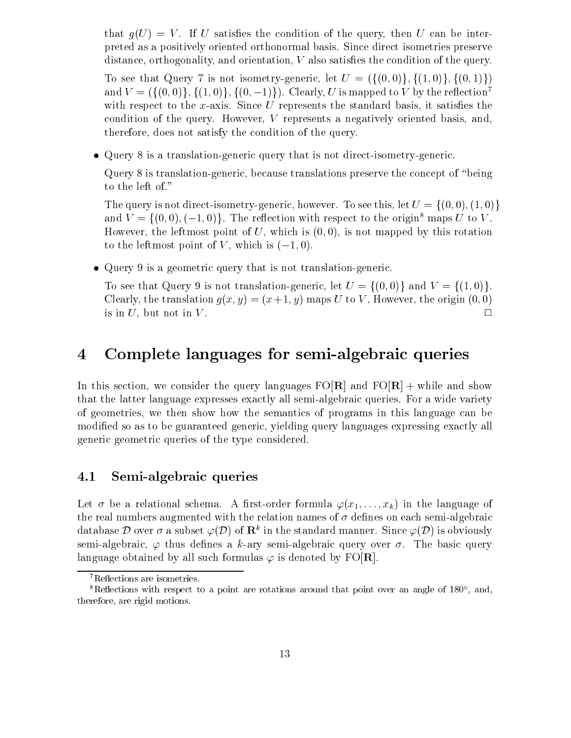that  $q(U) = V$ . If U satisfies the condition of the query, then U can be interpreted as a positively oriented orthonormal basis Since direct isometries preserve distance, orthogonality, and orientation,  $V$  also satisfies the condition of the query.

To see that Query 7 is not isometry-generic, let  $U = (\{(0,0)\}, \{(1,0)\}, \{(0,1)\})$ and  $V = (\{(0,0)\}, \{(1,0)\}, \{(0,-1)\})$ . Clearly, U is mapped to V by the reflection<sup>7</sup> with respect to the x-axis. Since  $U$  represents the standard basis, it satisfies the condition of the query. However,  $V$  represents a negatively oriented basis, and, therefore, does not satisfy the condition of the query.

 $\bullet$  Query  $\delta$  is a translation-generic query that is not direct-isometry-generic.

Query is translationgeneric because translations preserve the concept of being to the left of

The query is not direct-isometry-generic, however. To see this, let  $U = \{(0,0), (1,0)\}\$ and  $V = \{(0,0), (-1,0)\}\.$  The reflection with respect to the origin<sup>8</sup> maps U to V. However, the leftmost point of U, which is  $(0,0)$ , is not mapped by this rotation to the leftmost point of V, which is  $(-1,0)$ .

 $\bullet$  Query 9 is a geometric query that is not translation-generic.

To see that Query 9 is not translation-generic, let  $U = \{(0,0)\}\$  and  $V = \{(1,0)\}\$ . Clearly, the translation  $g(x, y) = (x+1, y)$  maps U to V, However, the origin  $(0, 0)$ is in U, but not in V.

## algebraic languages for semi-languages for semi-languages for semi-

In this section, we consider the query languages  $F\text{O}[\textbf{R}]$  and  $F\text{O}[\textbf{R}]$  + while and show that the latter language expresses exactly all semi-algebraic queries. For a wide variety of geometries we then show how the semantics of programs in this language can be modified so as to be guaranteed generic, yielding query languages expressing exactly all generic geometric queries of the type considered

#### ${\bf 4.1}$ Semi-algebraic queries

 $-$  . The and schema schematic of the language of the language  $\mathcal{F}$  (  $\mathcal{F}$  )  $\mathcal{F}$  )  $\mathcal{F}$  ,  $\mathcal{F}$  ,  $\mathcal{F}$  ,  $\mathcal{F}$  ,  $\mathcal{F}$  ,  $\mathcal{F}$  ,  $\mathcal{F}$  ,  $\mathcal{F}$  ,  $\mathcal{F}$  ,  $\mathcal{F}$  ,  $\mathcal{F}$  ,  $\mathcal$ the real numbers augmented with the relation names of  $\sigma$  defines on each semi-algebraic database  $\nu$  over  $\sigma$  a subset  $\varphi(\nu)$  of  ${\bf K}^*$  in the standard manner. Since  $\varphi(\nu)$  is obviously semi-algebraic,  $\varphi$  thus defines a k-ary semi-algebraic query over  $\sigma$ . The basic query language obtained by all such formulas  $\varphi$  is denoted by FOR.

 $7$ Reflections are isometries.

<sup>-</sup>Kenections with respect to a point are rotations around that point over an angle of  $1\sigma_0$  , and, therefore, are rigid motions.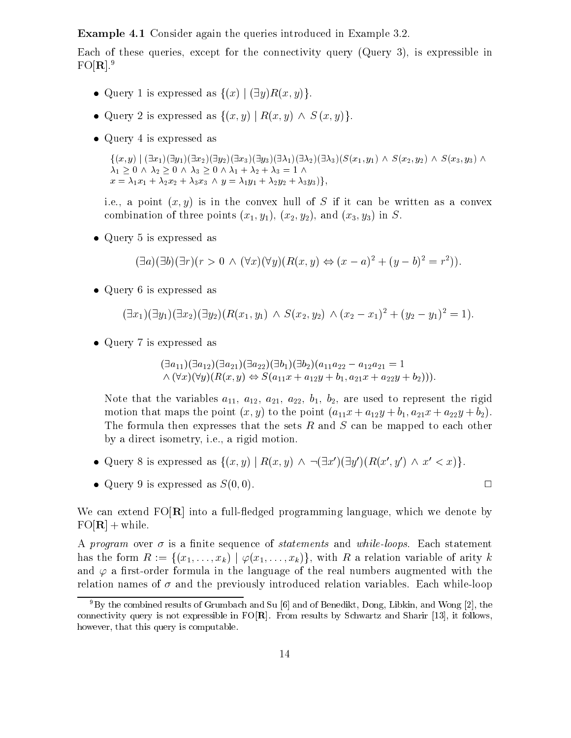Example - Consider again the queries introduced in Example -

Each of these queries except for the connectivity query Query - is expressible in  $\rm FO[{\bf R}]$ .<sup>9</sup>

- Query 1 is expressed as  $\{(x) | (\exists y)R(x, y)\}\$ .
- Query 2 is expressed as  $\{(x, y) | R(x, y) \wedge S(x, y)\}\.$
- $\bullet$  Query 4 is expressed as

 $\{(x,y) \mid (\exists x_1)(\exists y_1)(\exists x_2)(\exists y_2)(\exists x_3)(\exists y_3)(\exists \lambda_1)(\exists \lambda_2)(\exists \lambda_3)(\delta(x_1,y_1) \;\wedge\; \delta(x_2,y_2) \;\wedge\; \delta(x_3,y_3) \;\wedge\; \delta(x_4,y_4) \;\wedge\; \delta(x_5,y_5)$  $\lambda_1 \geq 0 \, \wedge \, \lambda_2 \geq 0 \, \wedge \, \lambda_3 \geq 0 \, \wedge \, \lambda_1 + \lambda_2 + \lambda_3 = 1 \, \wedge$  $x = \lambda_1 x_1 + \lambda_2 x_2 + \lambda_3 x_3 \wedge y = \lambda_1 y_1 + \lambda_2 y_2 + \lambda_3 y_3$  } },

i.e., a point  $(x, y)$  is in the convex hull of S if it can be written as a convex combination of three points x y x y and x- y- in S

 $\bullet$  Query  $\circ$  is expressed as

$$
(\exists a)(\exists b)(\exists r)(r > 0 \ \land \ (\forall x)(\forall y)(R(x, y) \Leftrightarrow (x - a)^2 + (y - b)^2 = r^2)).
$$

 $\bullet\,$  Query  $\circ\,$  is expressed as

$$
(\exists x_1)(\exists y_1)(\exists x_2)(\exists y_2)(R(x_1,y_1) \wedge S(x_2,y_2) \wedge (x_2-x_1)^2+(y_2-y_1)^2=1).
$$

 $\bullet$  Query  $\iota$  is expressed as

$$
(\exists a_{11})(\exists a_{12})(\exists a_{21})(\exists a_{22})(\exists b_1)(\exists b_2)(a_{11}a_{22} - a_{12}a_{21} = 1
$$
  
 
$$
\wedge (\forall x)(\forall y)(R(x, y) \Leftrightarrow S(a_{11}x + a_{12}y + b_1, a_{21}x + a_{22}y + b_2))).
$$

Note that the variables  $a_{11}$ ,  $a_{12}$ ,  $a_{21}$ ,  $a_{22}$ ,  $b_1$ ,  $b_2$ , are used to represent the rigid motion that maps the point  $(x, y)$  to the point  $(a_{11}x + a_{12}y + b_1, a_{21}x + a_{22}y + b_2)$ . The formula then expresses that the sets  $R$  and  $S$  can be mapped to each other by a direct isometry, *i.e.*, a rigid motion.

 $\Box$ 

- Query 8 is expressed as  $\{(x, y) | R(x, y) \wedge \neg (\exists x) | \exists y) | R(x, y) \wedge x \leq x \}$ .
- $\bullet$  Query 9 is expressed as  $\mathcal{S}(0,0)$ .

We can extend  $FO[**R**]$  into a full-fledged programming language, which we denote by  $FO[\mathbf{R}] + \text{while.}$ 

A program over  $\sigma$  is a finite sequence of *statements* and *while-loops*. Each statement has the form  $R := \{(x_1, \ldots, x_k) \mid \varphi(x_1, \ldots, x_k)\}$ , with  $R$  a relation variable of arity  $\kappa$ and  $\varphi$  a first-order formula in the language of the real numbers augmented with the relation names of  $\sigma$  and the previously introduced relation variables. Each while-loop

 ${}^{9}$ By the combined results of Grumbach and Su [6] and of Benedikt, Dong, Libkin, and Wong [2], the connectivity query is not expressible in  $FO[R]$ . From results by Schwartz and Sharir [13], it follows, however, that this query is computable.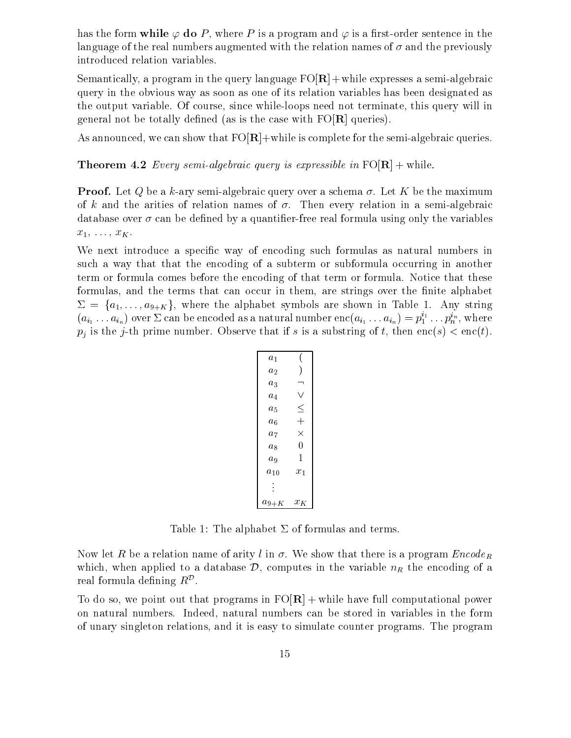has the form while  $\varphi$  do P, where P is a program and  $\varphi$  is a first-order sentence in the language of the real numbers augmented with the relation names of  $\sigma$  and the previously introduced relation variables

Semantically, a program in the query language  $FO[R] +$  while expresses a semi-algebraic query in the obvious way as soon as one of its relation variables has been designated as the output variable Of course since whileloops need not terminate this query will in general not be totally defined (as is the case with  $FO[**R**]$  queries).

As announced, we can show that  $FO[**R**] + while is complete for the semi-algebraic queries.$ 

theorem - Every semiconduction of the information in FOR III is expressioned in FORC in FORCE

re let a be akary semi-semi-semperature query over a schema over hover a server and maximum that of k and the arities of relation names of  $\sigma$ . Then every relation in a semi-algebraic database over  $\sigma$  can be defined by a quantifier-free real formula using only the variables  $x_1, \ldots, x_K.$ 

We next introduce a specific way of encoding such formulas as natural numbers in such a way that that the encoding of a subterm or subformula occurring in another term or formula comes before the encoding of that term or formula Notice that these formulas, and the terms that can occur in them, are strings over the finite alphabet  $\mathcal{L} = \{a_1, \ldots, a_{9+K}\}\$ , where the alphabet symbols are shown in Table 1. Any string  $(a_{i_1}\ldots a_{i_n})$  over  $\Sigma$  can be encoded as a natural number  $\text{enc}(a_{i_1}\ldots a_{i_n})=p_1^{c_1}\ldots p_n^{c_n}$  , where pj is the just prime is the prime that if substring of the internal of the substrate of the prime  $\{f\}$  .

| $a_1$     |                    |  |
|-----------|--------------------|--|
| $a_2$     |                    |  |
| $a_3$     |                    |  |
| $a_4$     | $\vee$             |  |
| $a_5$     | $\leq$             |  |
| $a_6$     | $+$                |  |
| $a_7$     | $\times$           |  |
| $a_8$     | $\overline{0}$     |  |
| $a_9$     | $\mathbf{1}$       |  |
| $a_{10}$  | $x_1$              |  |
|           |                    |  |
| $a_{9+K}$ | $\boldsymbol{x}_K$ |  |

Table 1: The alphabet  $\Sigma$  of formulas and terms.

Now let R be a relation name of arity l in  $\sigma$ . We show that there is a program  $Encoder_R$ which, when applied to a database  $\nu$ , computes in the variable  $n_R$  the encoding of a real formula defining  $R^{\mathcal{D}}$ .

To do so, we point out that programs in  $FO[R] +$  while have full computational power on natural numbers. Indeed, natural numbers can be stored in variables in the form of unary singleton relations and it is easy to simulate counter programs The program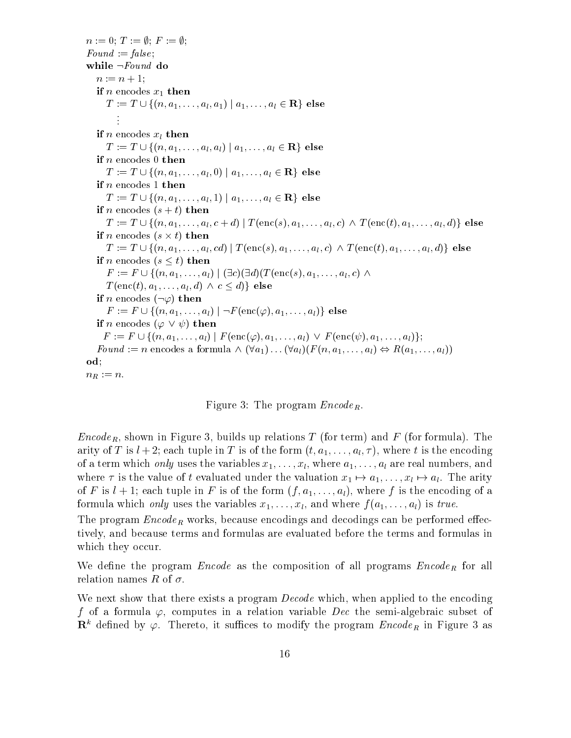$n := \mathsf{U};\; \mathsf{I} \;:= \mathsf{W};\; \mathsf{I} \;:= \mathsf{W};$ **Foundation fact facts facts facts facts facts facts facts facts facts** while  $-Found$  do n <sup>n</sup> if *n* encodes  $x_1$  then  $\begin{split} &\pi:=n+1;\ &n\,\, \text{encodes}\,\, x_1\,\, \textbf{then}\ &T:=T\cup\{(n,a_1,\ldots,a_l,a_1)\mid a_1,\ldots,a_l\in \mathbf{R}\}\,\, \textbf{else} \end{split}$  $\mathbf{r}$  is encoder  $\mathbf{x}_l$  then  $\mathbf{r}$  $\begin{split} &\hbox{$n$ encodes $x_l$ then}\ &\hbox{$T:=T\cup\{(n,a_1,\ldots,a_l,a_l)\mid a_1,\ldots,a_l\in{\bf R}\}$ else}\ &\hbox{$n$ encodes 0 then}\ &\hbox{$T:=T\cup\{(n,a_1,\ldots,a_l,0)\mid a_1,\ldots,a_l\in{\bf R}\}$ else} \end{split}$ if  $n$  encodes 0 then  $I := I \cup \{ (n, a_1, \ldots, a_l, 0) \mid a_1, \ldots, a_l \in \mathbb{R} \}$  else if  $n$  encodes 1 then  $\begin{split} T := T &\cup \{(n, a_1, \ldots, a_l, 0) \mid a_1, \ldots, a_l \in \mathbf{R}\} \textbf{\ else} \ n \text{ encodes 1 then } \ T := T &\cup \{(n, a_1, \ldots, a_l, 1) \mid a_1, \ldots, a_l \in \mathbf{R}\} \textbf{\ else} \end{split}$ if *n* encodes  $(s + t)$  then  $\begin{split} T &:= T \cup \{(n,a_1,\ldots,a_l,1) \mid a_1,\ldots,a_l \in \mathbf{R}\} \textbf{\ else} \ n \text{ encodes } (s+t) \textbf{\ then} \ T &:= T \cup \{(n,a_1,\ldots,a_l,c+d) \mid T(\text{enc}(s),a_1,\ldots,a_l,c) \, \wedge \, T(\text{enc}(t),a_1,\ldots,a_l,d)\} \textbf{\ else} \end{split}$ if  $n$  encodes ( $s \times t$ ) then  $I := I \cup \{ (n, a_1, \ldots, a_l, ca) | I \in \text{enc}(s), a_1, \ldots, a_l, c) \wedge I \in \text{enc}(t), a_1, \ldots, a_l, a \}$  else  $\{(n, a_1, \ldots, a_l)\}\ (s \times t) \textbf{ then} \ \{(n, a_1, \ldots, a_l)\}$ if *n* encodes  $(s \leq t)$  then  $T := T \cup \{(n, a_1, \ldots, a_l, cd) \mid T(\text{enc}(s), a_1, \ldots, a_l, c) \, \wedge \, T(\text{enc}(t), \ n \text{ encodes } (s \leq t) \textbf{ then } \ F := F \cup \{(n, a_1, \ldots, a_l) \mid (\exists c)(\exists d)(T(\text{enc}(s), a_1, \ldots, a_l, c) \, \wedge \, T(\text{enc}(s), a_l, \ldots, a_l, c) \, \wedge \, T(\text{enc}(s), a_l, \ldots, a_l, c) \, \wedge \, T(\text{enc}(s), a_l, \ldots, a_l, c) \, \wedge \$  $I$  (enc(*t*),  $a_1, \ldots, a_l, a$ )  $\wedge$   $c \leq a$ ) ense if n encodes  $(\neg \varphi)$  then  $\begin{split} &T(\mathrm{enc}(t), a_1, \ldots, a_l, d) \, \wedge \, c \leq d) \} \textbf{\:} \mathbf{else} \ &n \text{:} \ &\text{encodes} \, \left\{ \neg \varphi \right\} \textbf{then} \ &F := F \cup \{ \left( n, a_1, \ldots, a_l \right) \mid \neg F(\mathrm{enc}(\varphi), a_1, \ldots, a_l) \} \textbf{ else} \end{split}$ if n encodes  $(\varphi \lor \psi)$  then  $\begin{split} F &:= F \cup \{(n, a_1, \ldots, a_l) \mid \neg F(\text{enc}(\varphi), a_1, \ldots, a_l)\} \text{ else} \ \forall\ n \text{ encodes } (\varphi \ \lor \ \psi) \text{ then } \ F &:= F \cup \{(n, a_1, \ldots, a_l) \mid F(\text{enc}(\varphi), a_1, \ldots, a_l) \ \lor \ F(\text{enc}(\psi), a_1, \ldots, a_l)\}; \end{split}$ round := n encodes a formula  $\wedge$   $(\forall a_1) \dots (\forall a_l)(r~(n, a_1, \dots, a_l) \Leftrightarrow R(a_1, \dots, a_l))$ od nR n

Figure - The program EncodeR

EncodeR shown in Figure - builds up relations T for term and F for formula The arity of T is l T is computed in T is of the form the following the form the form the form the encoding the en of a term which only uses the variables  $\mathbf{1}$ where  $\tau$  is the value of t evaluated under the valuation  $x_1 \mapsto a_1, \ldots, x_l \mapsto a_l$ . The arity of F is l and the form f is the form f and form  $\{f(t)\}$  is  $\{f(t)\}$  is the form form form  $\cap$ formula which only uses the variables x---xl and where <sup>f</sup> a---al is true

The program EncodeR works because encodings and decodings can be performed eec tively and because terms and formulas are evaluated before the terms and formulas in which they occur.

We denote a the program Encode as the program Eq. ( ) as the composition of all programs Eq. ( ) and  $R$  for all programs Eq. ( ) and  $R$  for all programs Eq. ( ) and  $R$  for all programs Eq. ( ) and  $R$  for all programs relation names R of  $\sigma$ .

We next show that there exists a program *Decode* which, when applied to the encoding f of a formula  $\varphi$ , computes in a relation variable Dec the semi-algebraic subset of  ${\bf K}^*$  denned by  $\varphi$ . Thereto, it sumces to modify the program  $\it{Encoae}_R$  in Figure 3 as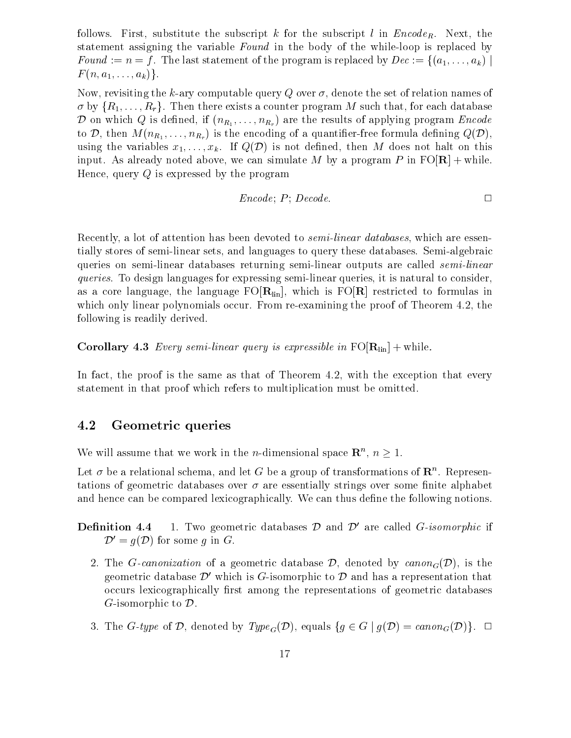follows. First, substitute the subscript k for the subscript l in  $Encode<sub>R</sub>$ . Next, the statement assigning the variable Found in the body of the while-loop is replaced by  ${\it {round}} := n = f$ . The last statement of the program is replaced by  ${\it Dec} := \{ (a_1, \ldots, a_k) \mid$  $F(n, a_1, \ldots, a_k)$ .

Now, revisiting the k-ary computable query Q over  $\sigma$ , denote the set of relation names of  $\sigma$  by  $\{R_1,\ldots,R_r\}$ . Then there exists a counter program  $M$  such that, for each database  $\nu$  on which  $Q$  is defined, if  $(n_{R_1}, \ldots, n_{R_r})$  are the results of applying program *Encode* to  $\nu$ , then  $M(n_{R_1}, \ldots, n_{R_r})$  is the encoding of a quantifier-free formula defining  $Q(\nu),$ using the variables  $x_1, \ldots, x_k$ . If  $Q(D)$  is not defined, then M does not halt on this input. As already noted above, we can simulate M by a program P in  $FO[\mathbf{R}]$  + while. Hence, query  $Q$  is expressed by the program

$$
Encode; P; Decode.
$$

Recently, a lot of attention has been devoted to *semi-linear databases*, which are essentially stores of semi-linear sets, and languages to query these databases. Semi-algebraic queries on semi-linear databases returning semi-linear outputs are called *semi-linear* queries. To design languages for expressing semi-linear queries, it is natural to consider, as a core language, the language  $FO[R_{lin}]$ , which is  $FO[R]$  restricted to formulas in which only linear polynomials occur. From re-examining the proof of Theorem 4.2, the following is readily derived

Corollary five Every semiculity yasigns expressions in FORMILI in Manser

In fact, the proof is the same as that of Theorem  $4.2$ , with the exception that every statement in that proof which refers to multiplication must be omitted

#### $4.2$ Geometric queries

We will assume that we work in the n-dimensional space  $\mathbf{R}^n$ ,  $n \geq 1$ .

Let  $\sigma$  be a relational schema, and let  $G$  be a group of transformations of  ${\bf R}^n.$  Representations of geometric databases over  $\sigma$  are essentially strings over some finite alphabet and hence can be compared lexicographically. We can thus define the following notions.

1. Two geometric databases  $\mathcal D$  and  $\mathcal D'$  are called *G*-isomorphic if  $D = q(D)$  for some q in G.

- 2. The G-canonization of a geometric database  $\mathcal{D}$ , denoted by canon<sub>G</sub> $(\mathcal{D})$ , is the geometric database  $\mathcal{D}'$  which is G-isomorphic to  $\mathcal D$  and has a representation that occurs lexicographically first among the representations of geometric databases G-isomorphic to  $\mathcal{D}$ .
- 5. The G-type of D, denoted by Type  $_G(D)$ , equals  $\{g \in G \mid g(D) = \text{canone}_G(D)\}\$ .  $\Box$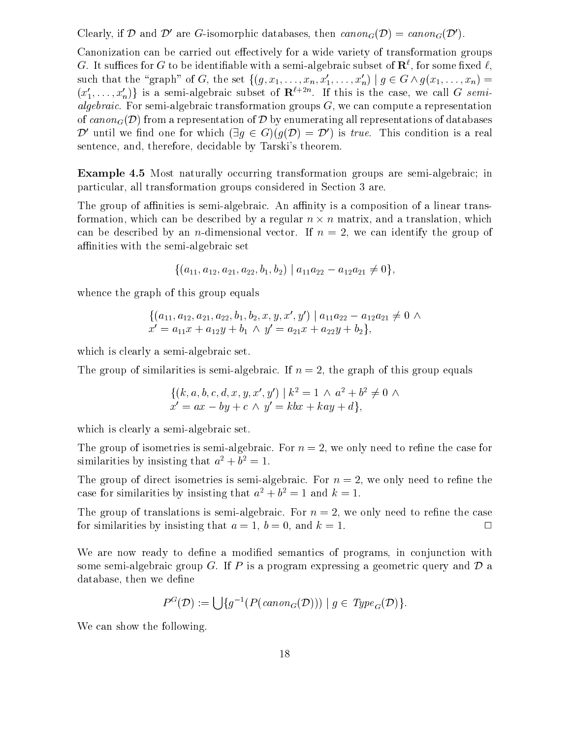Clearly, if D and D' are G-isomorphic databases, then  $cano_n(\mathcal{D}) = canona_G(\mathcal{D}')$ .

Canonization can be carried out effectively for a wide variety of transformation groups G . It sumees for G to be identifiable with a semi-algebraic subset of  ${\bf K}$  , for some fixed  $\ell,$ such that the graph of G, the set  $\{(g,x_1,\ldots,x_n,x_1,\ldots,x_n) \mid g \in G \land g(x_1,\ldots,x_n) =$  $(x_1,\ldots,x_n)$  is a semi-algebraic subset of  $\mathbf{R}^{s_1+s_2}$ . If this is the case, we call G semi $algebraic.$  For semi-algebraic transformation groups  $G$ , we can compute a representation of canon<sub>G</sub> $(D)$  from a representation of D by enumerating all representations of databases  $\nu$  until we find one for which  $\Box a \in G$  it  $a(\nu) \equiv \nu$  is true. This condition is a real sentence, and, therefore, decidable by Tarski's theorem.

Example - Most naturally occurring transformation groups are semialgebraic in particular all transformation groups considered in Section - are

The group of affinities is semi-algebraic. An affinity is a composition of a linear transformation, which can be described by a regular  $n \times n$  matrix, and a translation, which can be described by an *n*-dimensional vector. If  $n = 2$ , we can identify the group of affinities with the semi-algebraic set

$$
\{(a_{11},a_{12},a_{21},a_{22},b_1,b_2)\mid a_{11}a_{22}-a_{12}a_{21}\neq 0\},\
$$

whence the graph of this group equals

$$
\{(a_{11}, a_{12}, a_{21}, a_{22}, b_1, b_2, x, y, x', y') \mid a_{11}a_{22} - a_{12}a_{21} \neq 0 \land x' = a_{11}x + a_{12}y + b_1 \land y' = a_{21}x + a_{22}y + b_2\},\
$$

which is clearly a semi-algebraic set.

The group of similarities is semi-algebraic. If  $n = 2$ , the graph of this group equals

$$
\{(k, a, b, c, d, x, y, x', y') \mid k^2 = 1 \land a^2 + b^2 \neq 0 \land x' = ax - by + c \land y' = kbx + kay + d\},\
$$

which is clearly a semi-algebraic set.

The group of isometries is semi-algebraic. For  $n = 2$ , we only need to refine the case for similarities by insisting that  $a + b = 1$ .

The group of direct isometries is semi-algebraic. For  $n = 2$ , we only need to refine the case for similarities by insisting that  $a + b = 1$  and  $\kappa = 1$ .

The group of translations is semi-algebraic. For  $n = 2$ , we only need to refine the case for similarities by insisting that  $a = 1$ ,  $b = 0$ , and  $k = 1$ .  $\Box$ 

We are now ready to define a modified semantics of programs, in conjunction with some semi-algebraic group G. If P is a program expressing a geometric query and  $\mathcal D$  a database, then we define

$$
P^{G}(\mathcal{D}) := \bigcup \{ g^{-1}(P(\text{canon}_G(\mathcal{D}))) \mid g \in \text{Type}_G(\mathcal{D}) \}.
$$

We can show the following.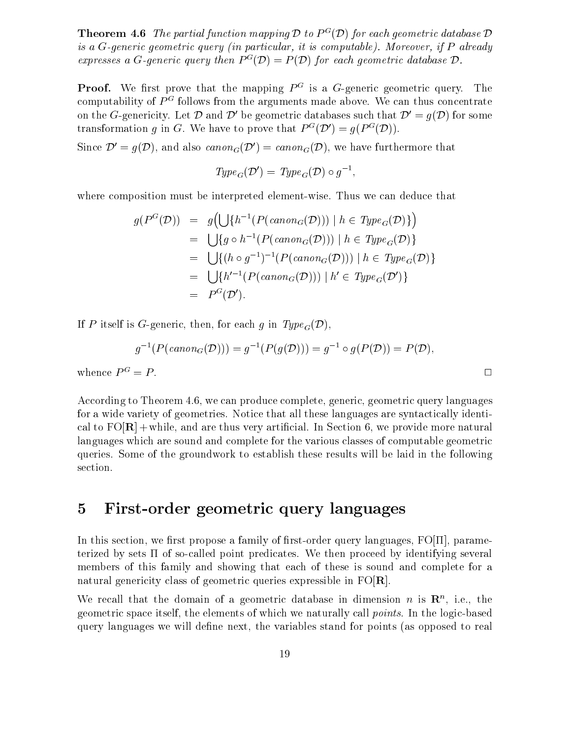**Theorem 4.0** The partial function mapping D to  $P^{\sim}(D)$  for each geometric database D is a  $G$ -generic geometric query (in particular, it is computable). Moreover, if  $P$  already expresses a  $G$ -generic query then  $P^-(D) = P(D)$  for each geometric database D.

**Proof.** We first prove that the mapping  $P^-$  is a  $G$ -generic geometric query. The computability of  $P^{\perp}$  follows from the arguments made above. We can thus concentrate on the G-genericity. Let D and D' be geometric databases such that  $\mathcal{D}' = q(\mathcal{D})$  for some transformation q in G. We have to prove that  $P^{\sim}(\mathcal{D}^{\prime})=q(P^{\sim}(\mathcal{D}^{\prime})).$ 

Since  $\mathcal{D}' = g(\mathcal{D})$ , and also canon<sub>G</sub> $(\mathcal{D}') = canon_G(\mathcal{D})$ , we have furthermore that

$$
Type_G(\mathcal{D}') = Type_G(\mathcal{D}) \circ g^{-1},
$$

where composition must be interpreted element-wise. Thus we can deduce that

$$
g(P^G(\mathcal{D})) = g\big(\bigcup \{h^{-1}(P(\text{canon}_G(\mathcal{D}))) \mid h \in \text{Type}_G(\mathcal{D})\}\big)
$$
  
\n
$$
= \bigcup \{g \circ h^{-1}(P(\text{canon}_G(\mathcal{D}))) \mid h \in \text{Type}_G(\mathcal{D})\}
$$
  
\n
$$
= \bigcup \{(h \circ g^{-1})^{-1}(P(\text{canon}_G(\mathcal{D}))) \mid h \in \text{Type}_G(\mathcal{D})\}
$$
  
\n
$$
= \bigcup \{h'^{-1}(P(\text{canon}_G(\mathcal{D}))) \mid h' \in \text{Type}_G(\mathcal{D}')\}
$$
  
\n
$$
= P^G(\mathcal{D}').
$$

If P itself is G-generic, then, for each g in  $Type_G(\mathcal{D})$ ,

$$
g^{-1}(P(\text{canon}_G(\mathcal{D}))) = g^{-1}(P(g(\mathcal{D}))) = g^{-1} \circ g(P(\mathcal{D})) = P(\mathcal{D}),
$$

whence  $P^G = P$ .

According to Theorem 4.6, we can produce complete, generic, geometric query languages for a wide variety of geometries Notice that all these languages are syntactically identi cal to  $FO[\mathbf{R}]$  + while, and are thus very artificial. In Section 6, we provide more natural languages which are sound and complete for the various classes of computable geometric queries Some of the groundwork to establish these results will be laid in the following section

### $\overline{5}$ First-order geometric query languages

In this section, we first propose a family of first-order query languages,  $F\text{O}[\Pi]$ , parameterized by sets  $\Pi$  of so-called point predicates. We then proceed by identifying several members of this family and showing that each of these is sound and complete for a natural genericity class of geometric queries expressible in  $FO[**R**]$ .

We recall that the domain of a geometric database in dimension  $n$  is  $\mathbf{R}^n$ , i.e., the geometric space itself, the elements of which we naturally call *points*. In the logic-based query languages we will define next, the variables stand for points (as opposed to real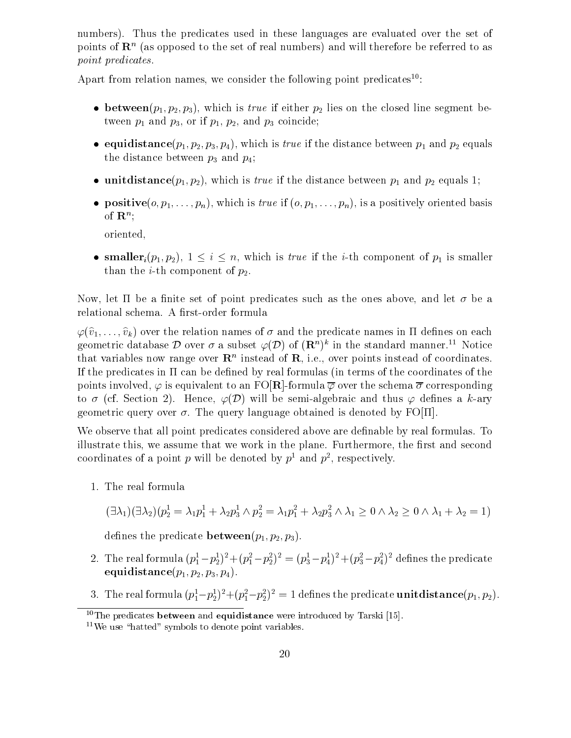numbers). Thus the predicates used in these languages are evaluated over the set of points of  ${\bf R}^n$  (as opposed to the set of real numbers) and will therefore be referred to as point predicates

Apart from relation names, we consider the following point predicates  $\ddots$ 

- between $(p_1, p_2, p_3)$ , which is *true* if either  $p_2$  lies on the closed line segment between p-coincident p- and p-coincident p-coincident p-coincident p-coincident p-coincident p-coincident p-coin
- $\bullet$  equidistance( $p_1, p_2, p_3, p_4$ ), which is *true* if the distance between  $p_1$  and  $p_2$  equals the distance between p-1 when p-1
- unit distance  $(p_1, p_2)$ , which is *true* if the distance between  $p_1$  and  $p_2$  equals 1;
- positive $(o, p_1, \ldots, p_n)$ , which is true if  $(o, p_1, \ldots, p_n)$ , is a positively oriented basis of  $\mathbf{R}^n$ ;

oriented

• smaller<sub>i</sub>( $p_1, p_2$ ),  $1 \leq i \leq n$ , which is *true* if the *t*-th component of  $p_1$  is smaller than the *i*-th component of  $p_2$ .

Now, let  $\Pi$  be a finite set of point predicates such as the ones above, and let  $\sigma$  be a relational schema. A first-order formula

 $\mathcal{L}$  (s)), which are relationship in  $\mathcal{L}$  and  $\mathcal{L}$  are predicated in  $\mathcal{L}$  and  $\mathcal{L}$  and  $\mathcal{L}$  and  $\mathcal{L}$ geometric database  $\nu$  over  $\sigma$  a subset  $\varphi(\nu)$  of  $(\mathbf{R}^n)^n$  in the standard manner. Thouce that variables now range over  ${\bf K}^+$  instead of  ${\bf K}$ , i.e., over points instead of coordinates. If the predicates in  $\Pi$  can be defined by real formulas (in terms of the coordinates of the points involved,  $\varphi$  is equivalent to an FOR-formula  $\overline{\varphi}$  over the schema  $\overline{\sigma}$  corresponding to  $\sigma$  (cf. Section 2). Hence,  $\varphi(\mathcal{D})$  will be semi-algebraic and thus  $\varphi$  defines a k-ary geometric query over  $\sigma$ . The query language obtained is denoted by FO[II].

We observe that all point predicates considered above are definable by real formulas. To illustrate this, we assume that we work in the plane. Furthermore, the first and second coordinates of a point  $p$  will be denoted by  $p^2$  and  $p^2$ , respectively.

1. The real formula

$$
(\exists \lambda_1)(\exists \lambda_2)(p_2^1 = \lambda_1 p_1^1 + \lambda_2 p_3^1 \wedge p_2^2 = \lambda_1 p_1^2 + \lambda_2 p_3^2 \wedge \lambda_1 \ge 0 \wedge \lambda_2 \ge 0 \wedge \lambda_1 + \lambda_2 = 1)
$$

denotes the predicate between p p-p-  $\{f(1), f(2), f(3)\}$  .

- 2. The real formula  $(p_1^2 p_2^2)^2 + (p_1^2 p_2^2)^2 = (p_3^2 p_4^2)^2 + (p_3^2 p_4^2)^2$  dennes the predicate equidistancep p p- p
- 5. The real formula  $(p_1^* p_2^*)^* + (p_1^* p_2^*)^* = 1$  defines the predicate **unitalstance** $(p_1, p_2)$ .

 $10$ The predicates **between** and **equidistance** were introduced by Tarski [15].

 $11$ We use "hatted" symbols to denote point variables.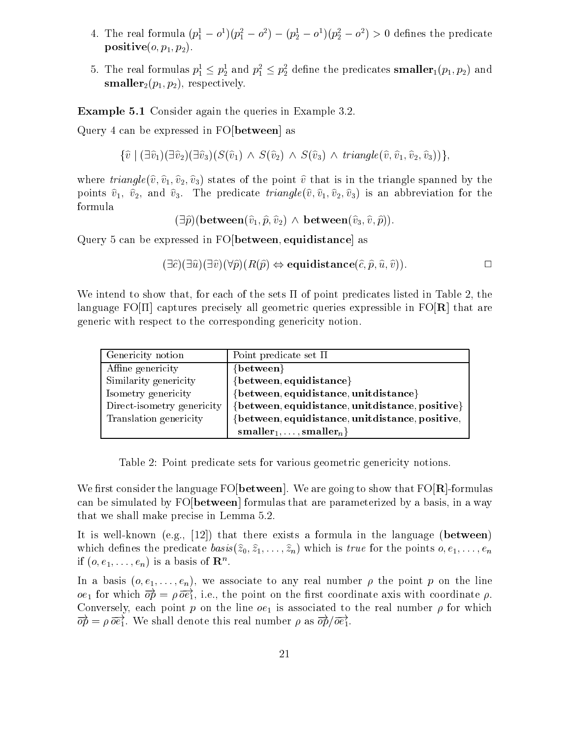- 4. The real formula  $(p_1^* o^*)(p_1^* o^*) (p_2^* o^*) (p_2^* o^*) > 0$  defines the predicate  $\mathbf{positive}(o, p_1, p_2).$
- 5. The real formulas  $p_1^r \leq p_2^r$  and  $p_1^r \leq p_2^r$  define the predicates smaller $_1(p_1, p_2)$  and smaller<sub>2</sub> $(p_1, p_2)$ , respectively.

Example - Consider again the queries in Example -

Query 4 can be expressed in  $FO[\text{between}]$  as

 $\{v \mid (\exists v_1)(\exists v_2)(\exists v_3)(\bigcirc(v_1) \land \bigcirc(v_2) \land \bigcirc(v_3) \land \text{triangle}(v, v_1, v_2, v_3))\},\$ 

where  $t$  variance b variables of the point  $\epsilon$  value is in the triangle spanned by the  $\mathcal{P}$  variables  $\mathcal{P}$  and  $\mathcal{P}$  and  $\mathcal{P}$  predicate triangle  $\mathcal{P}$  (i.e.,  $\mathcal{P}$ ) is an abbreviation for the formula

 $(\exists p)($  between $(v_1, p, v_2)$   $\wedge$  between  $(v_3, v, p)$  ).

Query 5 can be expressed in  $FO[between, equidistance]$  as

$$
(\exists \hat{c})(\exists \hat{u})(\forall \hat{p})(R(\hat{p}) \Leftrightarrow \text{equidistance}(\hat{c}, \hat{p}, \hat{u}, \hat{v})). \Box
$$

We intend to show that, for each of the sets  $\Pi$  of point predicates listed in Table 2, the language  $F\text{O}[\Pi]$  captures precisely all geometric queries expressible in  $F\text{O}[\mathbf{R}]$  that are generic with respect to the corresponding genericity notion

| Genericity notion          | Point predicate set $\Pi$                          |
|----------------------------|----------------------------------------------------|
| Affine genericity          | $\{$ between $\}$                                  |
| Similarity genericity      | ${between, equidistance}$                          |
| Isometry genericity        | ${between, equidistance, unit distance}$           |
| Direct-isometry genericity | ${between, equidistance, unitdistance, positive}$  |
| Translation genericity     | {between, equidistance, unitdistance, positive,    |
|                            | $\mathbf{smaller}_1, \ldots, \mathbf{smaller}_n\}$ |

Table 2: Point predicate sets for various geometric genericity notions.

We first consider the language FO between. We are going to show that  $F\text{O}[\mathbf{R}]$ -formulas can be simulated by FO**between** formulas that are parameterized by a basis, in a way that we shall make precise in Lemma

It is well-known (e.g.,  $[12]$ ) that there exists a formula in the language (between)  $\ldots$  zhon wennes the predicate basis  $\langle v_0, v_1, \ldots, v_n \rangle$  ,  $\ldots$  means to the points of  $\{v_1, \ldots, v_n\}$ if  $(o, e_1, \ldots, e_n)$  is a basis of  ${\bf R}^n$ .

 $\Box$  in a basis of the point p on the point p on the point p on the point p on the point p on the point p on the point p on the point p on the point p on the point p on the point p on the point p on the point p on the poi  $oe_1$  for which  $\overrightarrow{op} = \rho \overrightarrow{oe_1}$ , i.e., the point on the first coordinate axis with coordinate  $\rho$ . Conversely, each point p on the line  $oe_1$  is associated to the real number  $\rho$  for which  $\overrightarrow{\rho} \overrightarrow{\rho} = \rho \overrightarrow{\rho} e_1^2$ . We shall denote this real number  $\rho$  as  $\overrightarrow{\rho}$   $\overrightarrow{\rho}$   $\overrightarrow{\rho}$ .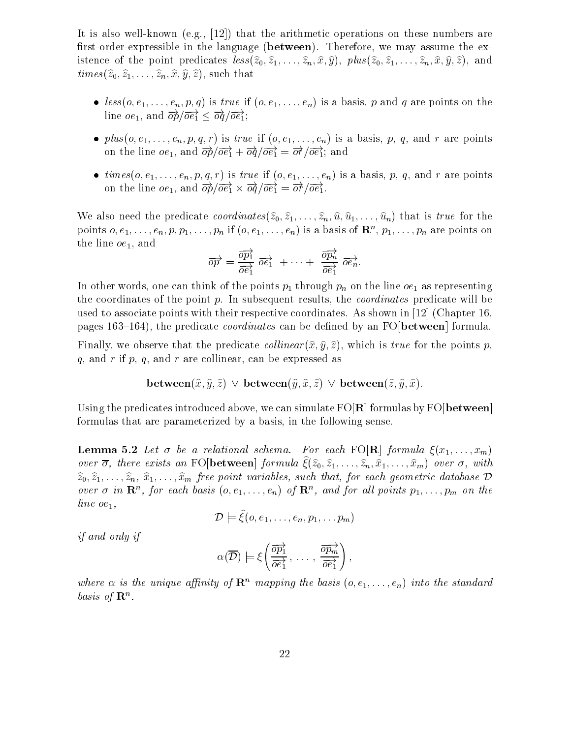It is also well-known (e.g., [12]) that the arithmetic operations on these numbers are first-order-expressible in the language (between). Therefore, we may assume the existence of the point predicates less zb zb--- zbn x <sup>b</sup> yb plus zb zb--- zbn x <sup>b</sup> y <sup>b</sup> zb and  $\alpha$ ,  $\alpha$ <sub>0</sub>,  $\alpha$ <sub>1</sub>,  $\cdots$ ,  $\alpha$ <sub>1</sub>,  $\alpha$ ,  $\beta$ ,  $\alpha$ ,  $\beta$ ,  $\alpha$  called that

- $less (o, e_1, \ldots, e_n, p, q)$  is true if  $(o, e_1, \ldots, e_n)$  is a basis, p and q are points on the line  $oe_1$ , and  $\overrightarrow{op}/\overrightarrow{oe_1} \leq \overrightarrow{oq}/\overrightarrow{oe_1}$ ;
- $puus(0, e_1, \ldots, e_n, p, q, r)$  is true if  $(0, e_1, \ldots, e_n)$  is a basis, p, q, and r are points on the line  $oe_1$ , and  $\overrightarrow{op}/\overrightarrow{oe_1} + \overrightarrow{oq}/\overrightarrow{oe_1} = \overrightarrow{or}/\overrightarrow{oe_1}$ ; and
- $umes(o, e_1, \ldots, e_n, p, q, r)$  is  $true$  if  $(o, e_1, \ldots, e_n)$  is a basis, p, q, and r are points on the line  $oe_1$ , and  $\overrightarrow{op}/\overrightarrow{oe_1} \times \overrightarrow{og}/\overrightarrow{oe_1} = \overrightarrow{or}/\overrightarrow{oe_1}$ .

 $\mathcal{L}_{\mathcal{L}}$  and  $\mathcal{L}_{\mathcal{L}}$  is true for the predicate coordinates  $\{x_0, x_1, \ldots, x_N\}$  ,  $\alpha_1, \ldots, \alpha_N$  , where  $\mathcal{L}_{\mathcal{L}}$ points  $o, e_1, \ldots, e_n, p, p_1, \ldots, p_n$  if  $(o, e_1, \ldots, e_n)$  is a basis of  $\mathbb{R}^n$ ,  $p_1, \ldots, p_n$  are points on the line  $oe_1$ , and

$$
\overrightarrow{op} = \frac{\overrightarrow{op_1}}{\overrightarrow{oe_1}} \overrightarrow{oe_1} + \cdots + \frac{\overrightarrow{op_n}}{\overrightarrow{oe_1}} \overrightarrow{oe_n}.
$$

In other words, one can think of the points  $p_1$  through  $p_n$  on the line  $oe_1$  as representing the coordinates of the point  $p$ . In subsequent results, the *coordinates* predicate will be used to associate points with their respective coordinates. As shown in  $[12]$  (Chapter 16, pages for predicate coordinates coordinates complete complete control with the collective complete the control of

Finally, we observe that the predicate collinear  $(\hat{x}, \hat{y}, \hat{z})$ , which is true for the points p, q, and r if p, q, and r are collinear, can be expressed as

$$
\mathbf{between}(\widehat{x},\widehat{y},\widehat{z}) ~\vee~ \mathbf{between}(\widehat{y},\widehat{x},\widehat{z}) ~\vee~ \mathbf{between}(\widehat{z},\widehat{y},\widehat{x}).
$$

Using the predicates introduced above, we can simulate  $FO[R]$  formulas by  $FO[between]$ formulas that are parameterized by a basis in the following sense

Lemma - Let be a relational schema For each FOR formula x---xm over  $o$ , there exists an FOD**etween** formula  $\zeta(z_0, z_1, \ldots, z_n, x_1, \ldots, x_m)$  over  $o$ , with  $z_0, z_1, \ldots, z_n, \; x_1, \ldots, x_m$  free point variables, such that, for each geometric database  $D$ over  $\sigma$  in  $\mathbf{R}^n$ , for each basis  $(o, e_1, \ldots, e_n)$  of  $\mathbf{R}^n$ , and for all points  $p_1, \ldots, p_m$  on the  $line$   $oe<sub>1</sub>$ ,  $(o, e_1, \ldots, e_n)$  of<br>  $\mathcal{D} \models \hat{\varepsilon}(o, e_1, \ldots, e_n)$ 

$$
\mathcal{D} \models \xi(o, e_1, \ldots, e_n, p_1, \ldots p_m)
$$

if and only if

$$
\alpha(\overline{\mathcal{D}})\models \xi\bigg(\frac{\overrightarrow{op_1}}{\overrightarrow{oe_1}},\ldots,\frac{\overrightarrow{op_m}}{\overrightarrow{oe_1}}\bigg),
$$

where  $\alpha$  is the unique affinity of  ${\bf K}^+$  mapping the basis  $(o, e_1, \ldots, e_n)$  into the standard basis of  $\mathbf{R}^n$ .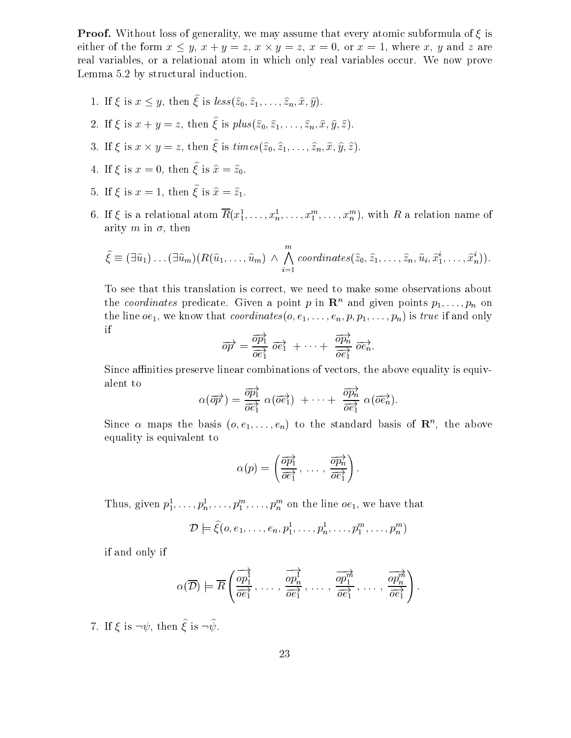Proof- Without loss of generality we may assume that every atomic subformula of is either of the form  $x \leq y$ ,  $x + y = z$ ,  $x \times y = z$ ,  $x = 0$ , or  $x = 1$ , where x, y and z are real variables or a relational atom in which only real variables occur We now prove Lemma 5.2 by structural induction.

- 1. If  $\xi$  is  $x \leq y$ , then  $\xi$  is  $less(z_0, z_1, \ldots, z_n, x, y)$ .
- 2. If  $\zeta$  is  $x + y = z$ , then  $\zeta$  is  $plus(z_0, z_1, \ldots, z_n, x, y, z)$ .
- 5. If  $\xi$  is  $x \times y = z$ , then  $\xi$  is times  $(z_0, z_1, \ldots, z_n, x, y, z)$ .
- 4. If  $\zeta$  is  $x = 0$ , then  $\zeta$  is  $x = z_0$ .
- $\infty$ . If  $\zeta$  is  $x = 1$ , then  $\zeta$  is  $x = z_1$ .
- 0. If  $\xi$  is a relational atom  $R(x_1^*,\ldots,x_n^*,\ldots,x_1^*,\ldots,x_m^m),$  with  $R$  a relation name of narity m in  $\sigma$ , then

$$
\hat{\xi} \equiv (\exists \hat{u}_1) \ldots (\exists \hat{u}_m) (R(\hat{u}_1, \ldots, \hat{u}_m) \wedge \bigwedge_{i=1}^m coordinates(\hat{z}_0, \hat{z}_1, \ldots, \hat{z}_n, \hat{u}_i, \hat{x}_1^i, \ldots, \hat{x}_n^i)).
$$

To see that this translation is correct, we need to make some observations about the coordinates predicate. Given a point p in  $\mathbb{R}^n$  and given points  $p_1,\ldots,p_n$  on the line of the line of the line of the line of the line if  $\mu$  if  $\mu$  if  $\tau$  if  $\mu$  if and only  $\tau$  if and  $\tau$ 

$$
\overrightarrow{op} = \frac{\overrightarrow{op_1}}{\overrightarrow{oe_1}} \overrightarrow{oe_1} + \cdots + \frac{\overrightarrow{op_n}}{\overrightarrow{oe_1}} \overrightarrow{oe_n}.
$$

Since affinities preserve linear combinations of vectors, the above equality is equivalent to

$$
\alpha(\overrightarrow{op}) = \frac{\overrightarrow{op_1}}{\overrightarrow{oe_1}} \alpha(\overrightarrow{oe_1}) + \cdots + \frac{\overrightarrow{op_n}}{\overrightarrow{oe_1}} \alpha(\overrightarrow{oe_n}).
$$

Since  $\alpha$  maps the basis  $(o, e_1, \ldots, e_n)$  to the standard basis of  $\mathbf{R}^n$ , the above equality is equivalent to

$$
\alpha(p) = \left(\frac{\overrightarrow{op_1}}{\overrightarrow{oe_1}}, \ldots, \frac{\overrightarrow{op_n}}{\overrightarrow{oe_1}}\right).
$$

Thus, given  $p_1, \ldots, p_n, \ldots, p_1, \ldots, p_n$  on the line  $oe_1$ , we have that  $p_1^1, \ldots, p_1^m, \ldots, p_n^m$ <br>  $\mathcal{D} \models \hat{\xi}(o, e_1, \ldots, e_n)$ 

$$
\mathcal{D} \models \hat{\xi}(o, e_1, \ldots, e_n, p_1^1, \ldots, p_n^1, \ldots, p_1^m, \ldots, p_n^m)
$$

if and only if

$$
\alpha(\overline{\mathcal{D}})\models \overline{R}\left(\overrightarrow{\frac{op_1^1}{\overrightarrow{oe_1}}},\ldots,\overrightarrow{\frac{op_n^1}{\overrightarrow{oe_1}}},\ldots,\overrightarrow{\frac{op_1^{\overrightarrow{m}}}{\overrightarrow{oe_1}}},\ldots,\overrightarrow{\frac{op_n^{\overrightarrow{m}}}{\overrightarrow{oe_1}}}\right).
$$

*i*. If  $\xi$  is  $\neg \psi$ , then  $\xi$  is  $\neg \psi$ .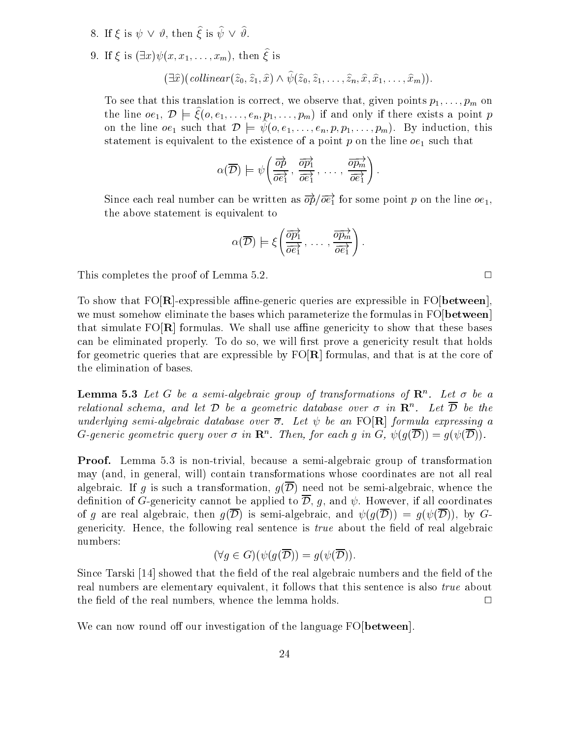- $\delta$ . If  $\zeta$  is  $\psi \vee \overline{v}$ , then  $\zeta$  is  $\psi \vee \overline{v}$ .
- 9. If  $\zeta$  is  $(\exists x) \psi(x, x_1, \ldots, x_m)$ , then  $\zeta$  is

$$
(\exists \widehat{x})(collinear(\widehat{z}_0,\widehat{z}_1,\widehat{x}) \wedge \widehat{\psi}(\widehat{z}_0,\widehat{z}_1,\ldots,\widehat{z}_n,\widehat{x},\widehat{x}_1,\ldots,\widehat{x}_m)).
$$

 $\overline{r}$  see that the see that the correct we observe that given points points points points points points points points points points points points points points points points points points points points points points po the line  $oe_1, \ D \models \xi(o, e_1, \ldots, e_n, p_1, \ldots, p_m)$  if and only if there exists a point  $p$ on the line  $oe_1$  such that  $D \models \psi(o, e_1, \ldots, e_n, p, p_1, \ldots, p_m)$ . By induction, this statement is equivalent to the existence of a point p on the line  $oe<sub>1</sub>$  such that

$$
\alpha(\overline{\mathcal{D}})\models\psi\bigg(\frac{\overrightarrow{op}}{\overrightarrow{oe_1}},\frac{\overrightarrow{op_1}}{\overrightarrow{oe_1}},\ldots,\frac{\overrightarrow{op_m}}{\overrightarrow{oe_1}}\bigg).
$$

Since each real number can be written as  $\overline{\omega}$  / $\overline{\omega}$  for some point p on the line  $oe_1$ , the above statement is equivalent to

$$
\alpha(\overline{\mathcal{D}})\models \xi\bigg(\frac{\overline{op_1^{\lambda}}}{\overline{oe_1^{\lambda}}}\,,\,\ldots\,, \frac{\overline{op_m^{\lambda}}}{\overline{oe_1^{\lambda}}}\bigg)\,.
$$

This completes the proof of Lemma 5.2.  $\Box$ 

To show that  $FO[R]$ -expressible affine-generic queries are expressible in  $FO[B$ tween, we must somehow eliminate the bases which parameterize the formulas in FO between that simulate  $FO[**R**]$  formulas. We shall use affine genericity to show that these bases can be eliminated properly. To do so, we will first prove a genericity result that holds for geometric queries that are expressible by  $FO[R]$  formulas, and that is at the core of the elimination of bases

**Lemma 5.3** Let G be a semi-algebraic group of transformations of  $\mathbb{R}^n$ . Let  $\sigma$  be a relational schema, and let  $\nu$  be a geometric database over  $\sigma$  in  ${\bf R}^n$ . Let  $\nu$  be the underlying semi-algebraic database over  $\bar{\sigma}$ . Let  $\psi$  be an FO[**R**] formula expressing a G-qeneric qeometric query over  $\sigma$  in  ${\bf R}^n$ . Then, for each q in G,  $\psi(q(D))=q(\psi(D))$ .

Proof- Lemma - is nontrivial because a semialgebraic group of transformation may (and, in general, will) contain transformations whose coordinates are not all real algebraic. If g is such a transformation,  $q(\overline{\mathcal{D}})$  need not be semi-algebraic, whence the definition of G-genericity cannot be applied to  $\overline{\mathcal{D}}$ , g, and  $\psi$ . However, if all coordinates of g are real algebraic, then  $g(\overline{\mathcal{D}})$  is semi-algebraic, and  $\psi(g(\overline{\mathcal{D}})) = g(\psi(\overline{\mathcal{D}}))$ , by Ggenericity. Hence, the following real sentence is *true* about the field of real algebraic numbers

$$
(\forall g \in G)(\psi(g(\overline{\mathcal{D}})) = g(\psi(\overline{\mathcal{D}})).
$$

Since Tarski [14] showed that the field of the real algebraic numbers and the field of the real numbers are elementary equivalent, it follows that this sentence is also *true* about the field of the real numbers, whence the lemma holds.  $\Box$ 

We can now round off our investigation of the language  $FQ$  between.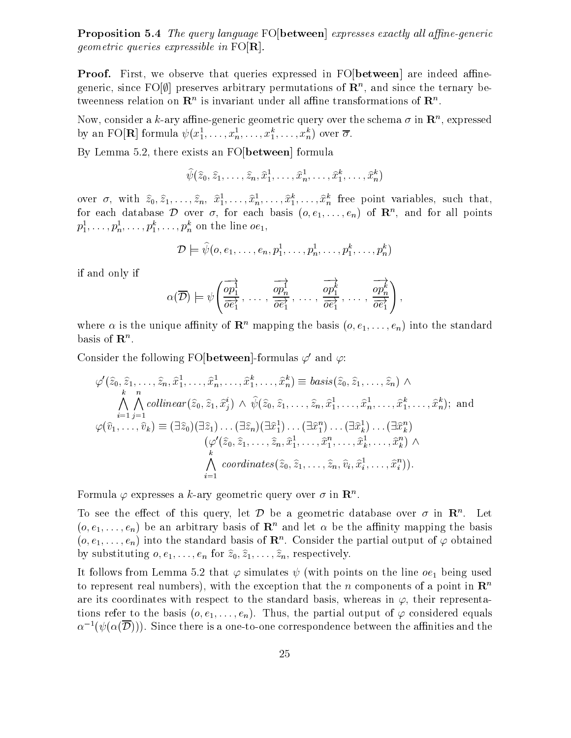Proposition - The query language FObetween expresses exactly al l a-negeneric *geometric queries expressible in*  $FO[**R**]$ .

Proof- First we observe that queries expressed in FObetween are indeed ane generic, since  $\mathbf r \cup \mathbf w$  preserves arbitrary permutations of  $\mathbf R^+$ , and since the ternary betweenness relation on  $\kappa$  is invariant under all anime transformations of  $\kappa$  .

Now, consider a  $\kappa$ -ary annie-generic geometric query over the schema  $\sigma$  in  ${\bf K}^n$ , expressed by an FO[K] formula  $\psi(x_1,\ldots,x_n,\ldots,x_1,\ldots,x_n)$  over  $\sigma$ .

By Lemma 5.2, there exists an FO [between] formula

$$
\widehat{\psi}(\widehat{z}_0,\widehat{z}_1,\ldots,\widehat{z}_n,\widehat{x}_1^1,\ldots,\widehat{x}_n^1,\ldots,\widehat{x}_1^k,\ldots,\widehat{x}_n^k)
$$

over  $\sigma$ , with  $z_0, z_1, \ldots, z_n, x_{\overline{1}}, \ldots, x_{\overline{n}}, \ldots, x_{\overline{1}}, \ldots, x_n$  free point variables, such that, for each database  $\nu$  over  $\sigma$ , for each basis  $(o, e_1, \ldots, e_n)$  of  $\mathbf{R}^n$ , and for all points  $p_1,\ldots,p_n,\ldots,p_1,\ldots,p_n$  on the line  $oe_1,$  $\begin{aligned} \rho_n^k \text{ on the line } o e, \ \mathcal{D} \models \hat{\psi}(o,e_1,\dots,e_n) \end{aligned}$ 

$$
\mathcal{D} \models \widehat{\psi}(o, e_1, \ldots, e_n, p^1_1, \ldots, p^1_n, \ldots, p^k_1, \ldots, p^k_n)
$$

if and only if

$$
\alpha(\overline{\mathcal{D}})\models\psi\bigg(\overrightarrow{\frac{op_1^1}{\overrightarrow{oe_1}}},\,\ldots\,,\,\overrightarrow{\frac{op_n^1}{\overrightarrow{oe_1}}},\,\ldots\,,\,\overrightarrow{\frac{op_1^k}{\overrightarrow{oe_1}}},\,\ldots\,,\,\overrightarrow{\frac{op_n^k}{\overrightarrow{oe_1}}}\bigg)\,,
$$

where  $\alpha$  is the unique affinity of  $\mathbf{R}^n$  mapping the basis  $(o, e_1, \ldots, e_n)$  into the standard basis of  $\mathbf{R}^n$ .

Consider the following FO between-formulas  $\varphi'$  and  $\varphi$ .

$$
\varphi'(\hat{z}_0, \hat{z}_1, \dots, \hat{z}_n, \hat{x}_1^1, \dots, \hat{x}_n^1, \dots, \hat{x}_1^k, \dots, \hat{x}_n^k) \equiv basis(\hat{z}_0, \hat{z}_1, \dots, \hat{z}_n) \land \n\bigwedge_{i=1}^k \bigwedge_{j=1}^n collinear(\hat{z}_0, \hat{z}_1, \hat{x}_j^i) \land \hat{\psi}(\hat{z}_0, \hat{z}_1, \dots, \hat{z}_n, \hat{x}_1^1, \dots, \hat{x}_n^1, \dots, \hat{x}_1^k, \dots, \hat{x}_n^k); and \n\varphi(\hat{v}_1, \dots, \hat{v}_k) \equiv (\exists \hat{z}_0)(\exists \hat{z}_1) \dots (\exists \hat{z}_n)(\exists \hat{x}_1^1) \dots (\exists \hat{x}_1^n) \dots (\exists \hat{x}_k^1) \dots (\exists \hat{x}_k^n) \n\bigvee_{k} (\varphi'(\hat{z}_0, \hat{z}_1, \dots, \hat{z}_n, \hat{x}_1^1, \dots, \hat{x}_1^n, \dots, \hat{x}_k^1, \dots, \hat{x}_k^n) \land \n\bigwedge_{i=1}^k coordinates(\hat{z}_0, \hat{z}_1, \dots, \hat{z}_n, \hat{v}_i, \hat{x}_i^1, \dots, \hat{x}_i^n)).
$$

Formula  $\varphi$  expresses a k-ary geometric query over  $\sigma$  in  $\mathbf{R}^n$ .

To see the effect of this query, let  $\nu$  be a geometric database over  $\sigma$  in  $\kappa^+$ . Let  $(o, e_1, \ldots, e_n)$  be an arbitrary basis of  $\mathbf{R}^n$  and let  $\alpha$  be the annity mapping the basis  $(o, e_1, \ldots, e_n)$  into the standard basis of  $\mathbf{R}^n$ . Consider the partial output of  $\varphi$  obtained  $\sim$  , substituting of ellipticity  $\sim$   $n$ ,  $\sim$   $n$ ,  $\sim$   $n$ ,  $\sim$   $n$ ,  $\sim$   $n$  ,  $\sim$ 

It follows from Lemma 5.2 that  $\varphi$  simulates  $\psi$  (with points on the line  $oe_1$  being used to represent real numbers), with the exception that the n components of a point in  $\mathbb{R}^n$ are its coordinates with respect to the standard basis, whereas in  $\varphi$ , their representations refer to the basis o e---en Thus the partial output of considered equals  $\alpha^{-1}(\psi(\alpha(\overline{\mathcal{D}})))$ . Since there is a one-to-one correspondence between the affinities and the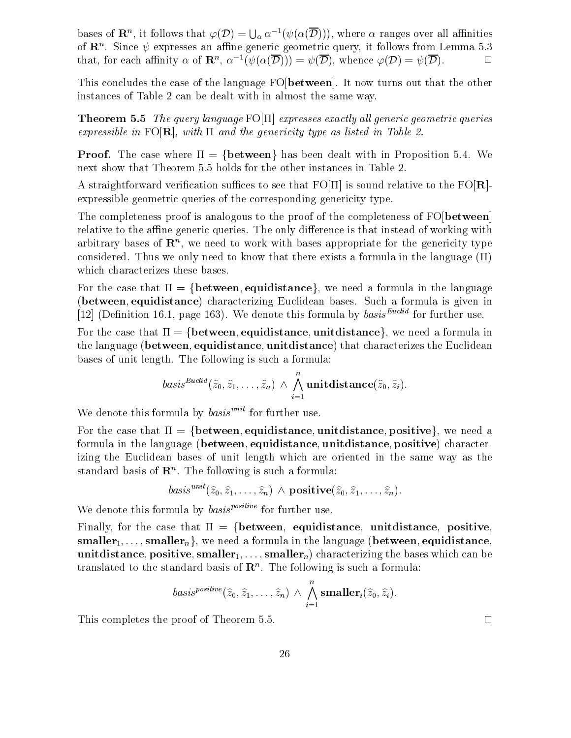bases of  $\mathbf{R}^n$ , it follows that  $\varphi(\mathcal{D})=\bigcup_{\alpha}\alpha^{-1}(\psi(\alpha(\mathcal{D}))),$  where  $\alpha$  ranges over all affinities of  $\mathbf{r}$ , since  $\psi$  expresses an anime-generic geometric query, it follows from Lemma 5.5 that, for each annity  $\alpha$  of  $\mathbb{R}^n$ ,  $\alpha^{-1}(\psi(\alpha(D))) = \psi(D)$ , whence  $\varphi(D) = \psi(D)$ .

This concludes the case of the language FO between. It now turns out that the other instances of Table 2 can be dealt with in almost the same way.

**Theorem - The danguage FO expresses exactly algebra generic desire danguages** expressible in FO[ $\mathbf{R}$ ], with  $\Pi$  and the genericity type as listed in Table 2.

**Proof.** The case where  $\Pi = \{$  between  $\}$  has been dealt with in Proposition 5.4. We next show that Theorem 5.5 holds for the other instances in Table 2.

A straightforward verification suffices to see that  $F_O[\Pi]$  is sound relative to the  $F_O[\mathbf{R}]$ expressible geometric queries of the corresponding genericity type

The completeness proof is analogous to the proof of the completeness of FO between relative to the affine-generic queries. The only difference is that instead of working with arbitrary bases of  $\mathbf{R}^n$ , we need to work with bases appropriate for the genericity type considered. Thus we only need to know that there exists a formula in the language  $(\Pi)$ which characterizes these bases

For the case that  $\Pi = \{$  between, equidistance, we need a formula in the language (between, equidistance) characterizing Euclidean bases. Such a formula is given in  $\left\lfloor 12\right\rfloor$  (Definition 16.1, page 163). We denote this formula by  ${\it basis}^{----}$  for further use.

For the case that  $\Pi = \{$  between, equidistance, unitdistance}, we need a formula in the language (between, equidistance, unitdistance) that characterizes the Euclidean bases of unit length The following is such a formula

$$
\textit{basis}^{\textit{Euclid}}\left(\widehat{z}_0,\widehat{z}_1,\ldots,\widehat{z}_n\right) \, \wedge \, \bigwedge_{i=1}^n \mathbf{unitdistance}(\widehat{z}_0,\widehat{z}_i).
$$

We denote this formula by  $basis^{unit}$  for further use.

For the case that  $\Pi = \{\text{between}, \text{equidistance}, \text{unitdistance}, \text{positive}\},$  we need a formula in the language (between, equidistance, unitdistance, positive) characterizing the Euclidean bases of unit length which are oriented in the same way as the standard pasis of  $\mathbf{R}^n$ . The following is such a formula:

$$
basis^{unit}(\widehat{z}_0, \widehat{z}_1, \ldots, \widehat{z}_n) \wedge \textbf{positive}(\widehat{z}_0, \widehat{z}_1, \ldots, \widehat{z}_n).
$$

We denote this formula by  $basis^{positive}$  for further use.

Finally, for the case that  $\Pi = \{$  between, equidistance, unitdistance, positive,  $\mathbf{s}$ maller $_{1},\ldots,\mathbf{s}$ maller $_{n}$ }, we need a formula in the language (between, equidistance, unitdistance positive smaller--- smallern characterizing the bases which can be translated to the standard pasis of  $\mathbf{R}^n$ . The following is such a formula:

$$
\text{basis}^{\text{positive}}(\widehat{z}_0,\widehat{z}_1,\ldots,\widehat{z}_n) \ \wedge \ \bigwedge_{i=1}^n \textbf{smaller}_i(\widehat{z}_0,\widehat{z}_i).
$$

This completes the proof of Theorem 5.5.

 $\Box$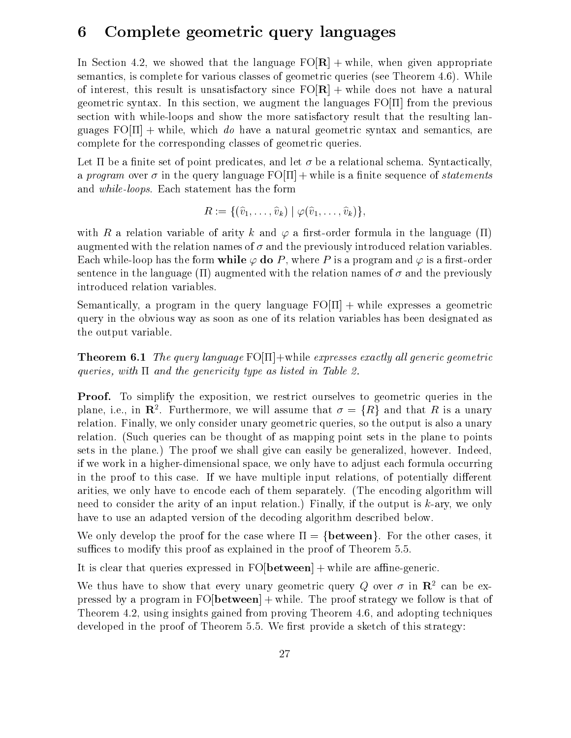### Complete geometric query languages 6

In Section 4.2, we showed that the language  $FO[**R**] +$  while, when given appropriate semantics, is complete for various classes of geometric queries (see Theorem  $4.6$ ). While of interest, this result is unsatisfactory since  $F\{O[R] + \text{while does not have a natural}$ geometric syntax. In this section, we augment the languages  $F\text{O}[\Pi]$  from the previous section with while-loops and show the more satisfactory result that the resulting languages  $FO[ $\Pi$ ] + while, which do have a natural geometric syntax and semantics, are$ complete for the corresponding classes of geometric queries

Let  $\Pi$  be a finite set of point predicates, and let  $\sigma$  be a relational schema. Syntactically, a program over  $\sigma$  in the query language  $FO[II] +$  while is a finite sequence of statements and *while-loops*. Each statement has the form

$$
R:=\{(\widehat{v}_1,\ldots,\widehat{v}_k)\mid \varphi(\widehat{v}_1,\ldots,\widehat{v}_k)\},
$$

with R a relation variable of arity k and  $\varphi$  a first-order formula in the language ( $\Pi$ ) augmented with the relation names of  $\sigma$  and the previously introduced relation variables. Each while-loop has the form while  $\varphi$  do P, where P is a program and  $\varphi$  is a first-order sentence in the language  $(\Pi)$  augmented with the relation names of  $\sigma$  and the previously introduced relation variables

Semantically, a program in the query language  $F\text{O}[\Pi] +$  while expresses a geometric query in the obvious way as soon as one of its relation variables has been designated as the output variable

Theorem - The query language FOwhile expresses exactly al l generic geometric queries, with  $\Pi$  and the genericity type as listed in Table 2.

Proof- To simplify the exposition we restrict ourselves to geometric queries in the plane, i.e., in  ${\bf K}$  , furthermore, we will assume that  $\sigma=\{K\}$  and that  $K$  is a unary relation. Finally, we only consider unary geometric queries, so the output is also a unary relation. (Such queries can be thought of as mapping point sets in the plane to points sets in the plane.) The proof we shall give can easily be generalized, however. Indeed, if we work in a higher-dimensional space, we only have to adjust each formula occurring in the proof to this case. If we have multiple input relations, of potentially different arities, we only have to encode each of them separately. (The encoding algorithm will need to consider the arity of an input relation.) Finally, if the output is  $k$ -ary, we only have to use an adapted version of the decoding algorithm described below

We only develop the proof for the case where  $\Pi = \{\text{between}\}\.$  For the other cases, it suffices to modify this proof as explained in the proof of Theorem 5.5.

It is clear that queries expressed in  $FO[\text{between}] +$  while are affine-generic.

We thus have to show that every unary geometric query Q over  $\sigma$  in  $\mathbb{R}^2$  can be expressed by a program in  $FO[between] + while$ . The proof strategy we follow is that of Theorem 4.2, using insights gained from proving Theorem 4.6, and adopting techniques developed in the proof of Theorem  $5.5$ . We first provide a sketch of this strategy: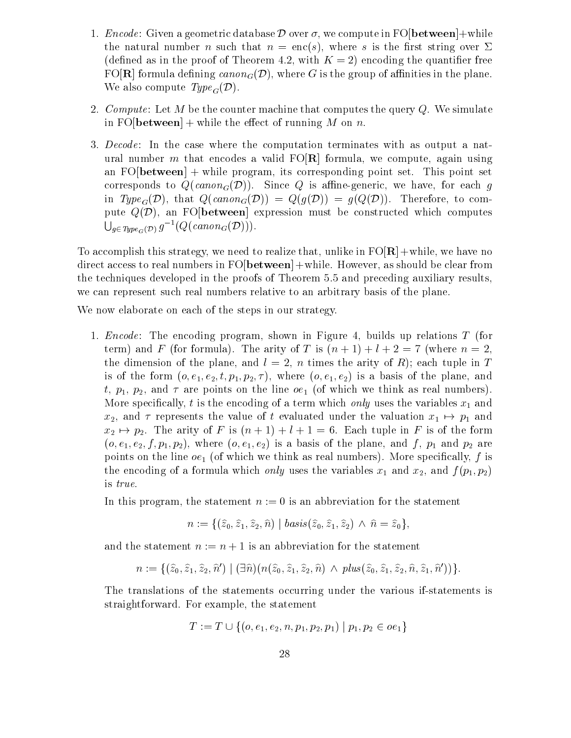- 1. Encode: Given a geometric database  $\mathcal D$  over  $\sigma$ , we compute in FO between  $\vert +$  while the natural number n such that  $n = \text{enc}(s)$ , where s is the first string over  $\Sigma$ (defined as in the proof of Theorem 4.2, with  $K = 2$ ) encoding the quantifier free FOR formula defining canon<sub>G</sub> $(D)$ , where G is the group of affinities in the plane. We also compute  $Type_G(\mathcal{D})$ .
- 2. Compute: Let M be the counter machine that computes the query  $Q$ . We simulate in FO [between] + while the effect of running M on n.
- Decode In the case where the computation terminates with as output a nat ural number m that encodes a valid  $FO[**R**]$  formula, we compute, again using an  $FO[\text{between}]$  + while program, its corresponding point set. This point set corresponds to  $Q(canon_G(\mathcal{D}))$ . Since Q is affine-generic, we have, for each q in Type<sub>G</sub>(D), that  $Q(\text{canon}_G(D)) = Q(g(D)) = g(Q(D))$ . Therefore, to compute  $Q(D)$ , an FO[between] expression must be constructed which computes Service and the service of the service and the service of the service of the service of the service of the service  $g \in Type_G(\mathcal{D})$   $g^{-1}(Q(\mathcal{C}anon_G(\mathcal{D}))).$

To accomplish this strategy, we need to realize that, unlike in  $FO[R] + while$ , we have no direct access to real numbers in  $FO[\text{between}] + \text{while}$ . However, as should be clear from the techniques developed in the proofs of Theorem 5.5 and preceding auxiliary results, we can represent such real numbers relative to an arbitrary basis of the plane

We now elaborate on each of the steps in our strategy

1. *Encode*: The encoding program, shown in Figure 4, builds up relations  $T$  (for term) and F (for formula). The arity of T is  $(n + 1) + l + 2 = 7$  (where  $n = 2$ , the dimension of the plane, and  $l = 2$ , n times the arity of R; each tuple in T is of the form  $(o, e_1, e_2, t, p_1, p_2, \tau)$ , where  $(o, e_1, e_2)$  is a basis of the plane, and t,  $p_1$ ,  $p_2$ , and  $\tau$  are points on the line  $oe_1$  (of which we think as real numbers). More specifically, t is the encoding of a term which only uses the variables  $x_1$  and  $x_2$ , and  $\tau$  represents the value of t evaluated under the valuation  $x_1 \mapsto p_1$  and  $x_2 \mapsto p_2$ . The arity of F is  $(n + 1) + l + 1 = 6$ . Each tuple in F is of the form  $(o, e_1, e_2, f, p_1, p_2)$ , where  $(o, e_1, e_2)$  is a basis of the plane, and f,  $p_1$  and  $p_2$  are points on the line  $oe_1$  (of which we think as real numbers). More specifically, f is the encoding of a formula which only uses the variables  $x_1$  and  $x_2$ , and  $f(p_1, p_2)$ is true

In this program, the statement  $n := 0$  is an abbreviation for the statement

$$
n:=\{(\widehat{z}_0,\widehat{z}_1,\widehat{z}_2,\widehat{n})\mid basis(\widehat{z}_0,\widehat{z}_1,\widehat{z}_2)\ \wedge\ \widehat{n}=\widehat{z}_0\},
$$

and the statement  $n := n + 1$  is an abbreviation for the statement

$$
n:=\{(\widehat{z}_0,\widehat{z}_1,\widehat{z}_2,\widehat{n}')\mid (\exists \widehat{n})(n(\widehat{z}_0,\widehat{z}_1,\widehat{z}_2,\widehat{n})\ \wedge \ plus(\widehat{z}_0,\widehat{z}_1,\widehat{z}_2,\widehat{n},\widehat{z}_1,\widehat{n}'))\}.
$$

The translations of the statements occurring under the various if-statements is stratement that the straightforward is the statement of the statement of the statement of the statement of the  $To\text{ } \mathrm{example}, \text{ the statement} \ \begin{split} T := T \cup \left\{ (o, e_1, e_2, n, p_1, p_2, p_1) \mid p_1, p_2 \in oe_1 \right\} \end{split}$ 

$$
T := T \cup \{ (o, e_1, e_2, n, p_1, p_2, p_1) \mid p_1, p_2 \in oe_1 \}
$$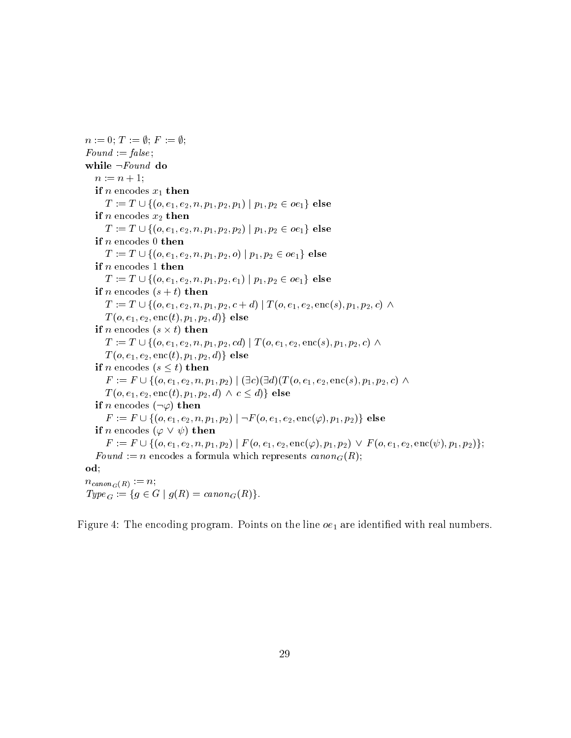$n := \mathsf{U};\, 1 := \mathsf{V};\, r := \mathsf{V};$ Found false while  $-Found$  do n <sup>n</sup> if *n* encodes  $x_1$  then  $\begin{split} & \eta := n+1; \ & n \text{ encodes } x_1 \text{ then } \ & T := T \cup \left\{ (o, e_1, e_2, n, p_1, p_2, p_1) \mid p_1, p_2 \in oe_1 \right\} \text{ else } \end{split}$ if *n* encodes  $x_2$  then  $\begin{split} T := T & \cup \left\{ (o, e_1, e_2, n, p_1, p_2, p_1) \mid p_1, p_2 \in oe_1 \right\} \textbf{ else} \ n \textbf{ encodes } x_2 \textbf{ then } T := T & \cup \left\{ (o, e_1, e_2, n, p_1, p_2, p_2) \mid p_1, p_2 \in oe_1 \right\} \textbf{ else } \right\}. \end{split}$ if  $n$  encodes  $0$  then  $I := I \cup \{0, e_1, e_2\}$  $\left\{ \left( o, e_1, e_2, n, p_1, p_2, p_2 \right) \mid p_1, p_2 \in o e_1 \right\} \textbf{ else } \ \left\{ \left( o, e_1, e_2, n, p_1, p_2, o \right) \mid p_1, p_2 \in o e_1 \right\} \textbf{ else } \right\}$ if  $n$  encodes 1 then  $\begin{split} T &:= T \cup \left\{ (o, e_1, e_2, n, p_1, p_2, o) \mid p_1, p_2 \in oe_1 \right\} \textbf{ else } \ n \textbf{ encodes 1 } \textbf{then} \ T &:= T \cup \left\{ (o, e_1, e_2, n, p_1, p_2, e_1) \mid p_1, p_2 \in oe_1 \right\} \textbf{ else } \ \end{split}$ if *n* encodes  $(s + t)$  then  $\begin{split} T &:= T \cup \{(o, e_1, e_2, n, p_1, p_2, e_1) \mid p_1, p_2 \in oe_1\} \textbf{ else} \ n \text{ encodes } (s+t) \textbf{ then } \ T &:= T \cup \{(o, e_1, e_2, n, p_1, p_2, c+d) \mid T(o, e_1, e_2, \text{enc}(s), p_1, p_2, c) \; \wedge \ \end{split}$  $I(0, e_1, e_2, \text{enc}(t), p_1, p_2, a)$  else if *n* encodes  $(s \times t)$  then  $\begin{split} &T(o,e_1,e_2,\text{enc}(t),p_1,p_2,d)\} \textbf{ else} \ &n \textbf{ encodes } (s \times t) \textbf{ then } \ &T := T \cup \{(o,e_1,e_2,n,p_1,p_2,cd) \mid T(o,e_1,e_2,\text{enc}(s),p_1,p_2,c) \; \wedge \; \} \end{split}$  $I(0, e_1, e_2, \text{enc}(t), p_1, p_2, a)$  else if *n* encodes ( $s \leq t$ ) then  $\begin{split} &T(o,e_1,e_2,\text{enc}(t),p_1,p_2,d)\} \textbf{ else} \ &n \textbf{ encodes } (s \leq t) \textbf{ then } \ &F := F \cup \{(o,e_1,e_2,n,p_1,p_2) \mid (\exists c)(\exists d)(T(o,e_1,e_2,\text{enc}(s),p_1,p_2,c) \; \wedge \; \; \} \end{split}$  $I(0, e_1, e_2, \text{enc}(t), p_1, p_2, a) \wedge c \leq a$ if  $n$  encodes  $(\neg \varphi)$  then  $\begin{split} &T(o, e_1, e_2, \mathit{enc}(t), p_1, p_2, d) ~\land~ c \leq d)\} \text{ else} \ &n \text{ encodes } (\neg \varphi) \textbf{ then } \ &F := F \cup \{(o, e_1, e_2, n, p_1, p_2) \mid \neg F(o, e_1, e_2, \mathit{enc}(\varphi), p_1, p_2)\} \textbf{ else } \ &n \text{ encodes } (\varphi \ \lor \ \psi) \textbf{ then } \ &F := F \cup \{(o, e_1, e_2, n, p_1, p_2) \mid F(o, e_1, e_2, \mathit{enc}(\varphi), p_$ If *n* encodes  $(\varphi \lor \psi)$  then  $F := F \cup \{ (o, e_1, e_2, n, p_1, p_2) \mid F(o, e_1, e_2, \text{enc}(\varphi), p_1, p_2) \lor F(o, e_1, e_2, \text{enc}(\psi), p_1, p_2) \};$ Found <sup>n</sup> encodes a formula which represents canonGR od  $\lnot$  canong  $(n)$   $\lnot$ 

 $Type_G := \{g \in G \mid g(R) = \text{canon}_G(R)\}.$ 

Figure 4: The encoding program. Points on the line  $oe_1$  are identified with real numbers.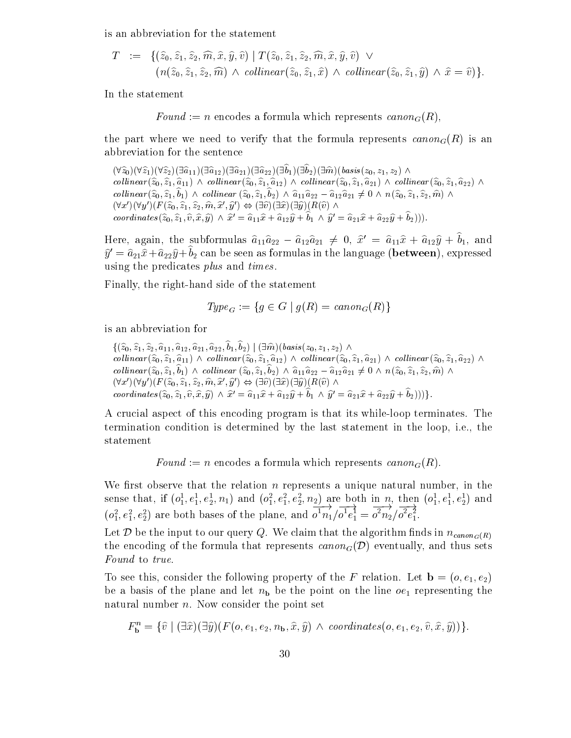is an abbreviation for the statement

$$
T := \{ (\hat{z}_0, \hat{z}_1, \hat{z}_2, \widehat{m}, \widehat{x}, \widehat{y}, \widehat{v}) \mid T(\widehat{z}_0, \widehat{z}_1, \widehat{z}_2, \widehat{m}, \widehat{x}, \widehat{y}, \widehat{v}) \lor (n(\widehat{z}_0, \widehat{z}_1, \widehat{z}_2, \widehat{m}) \land collinear(\widehat{z}_0, \widehat{z}_1, \widehat{x}) \land collinear(\widehat{z}_0, \widehat{z}_1, \widehat{y}) \land \widehat{x} = \widehat{v}) \}.
$$

In the statement

$$
Found := n
$$
 encodes a formula which represents  $canon_G(R)$ ,

the part where we need to verify that the formula represents  $cano_n(R)$  is an abbreviation for the sentence

 $(xz_0)(\sqrt{z_1})(\sqrt{z_2})(\sqrt{z_4})$   $(\sqrt{z_4})$   $(\sqrt{z_2})(\sqrt{z_2})(\sqrt{z_4})$   $(\sqrt{z_2})(\sqrt{z_4})$   $(\sqrt{z_3})$   $(\sqrt{z_4})$   $(\sqrt{z_2})(\sqrt{z_4})$  $count(\mathcal{Z}_0, \mathcal{Z}_1, u_{11}) \wedge count(\mathcal{Z}_0, \mathcal{Z}_1, u_{12}) \wedge count(\mathcal{Z}_0, \mathcal{Z}_1, u_{21}) \wedge count(\mathcal{Z}_0, \mathcal{Z}_1, u_{22}) \wedge$ counnear  $(z_0, z_1, v_1)$   $\wedge$  counnear  $(z_0, z_1, v_2)$   $\wedge$   $a_{11}a_{22} - a_{12}a_{21} \neq 0$   $\wedge$   $n(z_0, z_1, z_2, m)$   $\wedge$  $(\forall x)(\forall y)(F(z_0, z_1, z_2, m, x, y) \Leftrightarrow (\exists v)(\exists x)(\exists y)(R(v) \wedge$ coordinates  $(z_0, z_1, v, x, y) \wedge x = a_{11}x + a_{12}y + b_1 \wedge y = a_{21}x + a_{22}y + b_2$ 

Here, again, the subformulas  $a_{11}a_{22} - a_{12}a_{21} \neq 0, x = a_{11}x + a_{12}y + o_1$ , and  $y^\mu = a_{21}x + a_{22}y + o_2$  can be seen as formulas in the language (**between**), expressed using the predicates *plus* and *times*.

Finally, the right-hand side of the statement

$$
Type_G := \{ g \in G \mid g(R) = \text{canon}_G(R) \}
$$

is an abbreviation for

f-zb zb zb ba ba ba ba bb bb <sup>j</sup> -mb -basis -z z z  $countnear(z_0, z_1, a_{11}) \wedge countear(z_0, z_1, a_{12}) \wedge countnear(z_0, z_1, a_{21}) \wedge countnear(z_0, z_1, a_{22}) \wedge$ counnear  $(z_0, z_1, 0_1)$   $\wedge$  counnear  $(z_0, z_1, 0_2)$   $\wedge$   $a_{11}a_{22} - a_{12}a_{21} \neq 0$   $\wedge$   $n(z_0, z_1, z_2, m)$   $\wedge$  $(\forall x)(\forall y)(F(z_0, z_1, z_2, m, x, y) \Leftrightarrow (\exists v)(\exists x)(\exists y)(R(v) \wedge$ coordinates  $(z_0, z_1, v, x, y) \wedge x = a_{11}x + a_{12}y + b_1 \wedge y = a_{21}x + a_{22}y + b_2$ 

A crucial aspect of this encoding program is that its while-loop terminates. The termination condition is determined by the last statement in the loop, i.e., the statement

Found := n encodes a formula which represents canon<sub>G</sub> $(R)$ .

We first observe that the relation n represents a unique natural number, in the sense that, if  $(o_1^*, e_1^*, e_2^*, n_1)$  and  $(o_1^*, e_1^*, e_2^*, n_2)$  are both in  $n$ , then  $(o_1^*, e_1^*, e_2^*)$  and  $(o_1^2, e_1^2, e_2^2)$  are both bases of the plane, and  $\overrightarrow{o}^1n_1/\overrightarrow{o}^1e_1^1 = \overrightarrow{o}^2n_2/\overrightarrow{o}^2e_1^2$  $\sim$   $\sim$   $\sim$  $\overrightarrow{o^1e_1} = \overrightarrow{o^2n_2}/\overrightarrow{o^2e_1^2}.$  $\sim$   $\sim$   $\sim$  $o^{\scriptscriptstyle\mathsf{F}} e_{1}^{\scriptscriptstyle\mathsf{F}}$ .

Let  $\mathcal D$  be the input to our query Q. We claim that the algorithm finds in  $n_{canon_G(R)}$ the encoding of the formula that represents  $cano_n(\mathcal{D})$  eventually, and thus sets Found to true

To see this, consider the following property of the F relation. Let  $\mathbf{b} = (o, e_1, e_2)$ be a basis of the plane and let  $n<sub>b</sub>$  be the point on the line  $oe<sub>1</sub>$  representing the natural number n Now consider the point set

$$
F_{\mathbf{b}}^{n} = \{ \widehat{v} \mid (\exists \widehat{x})(\exists \widehat{y})(F(o, e_1, e_2, n_{\mathbf{b}}, \widehat{x}, \widehat{y}) \land coordinates(o, e_1, e_2, \widehat{v}, \widehat{x}, \widehat{y})) \}.
$$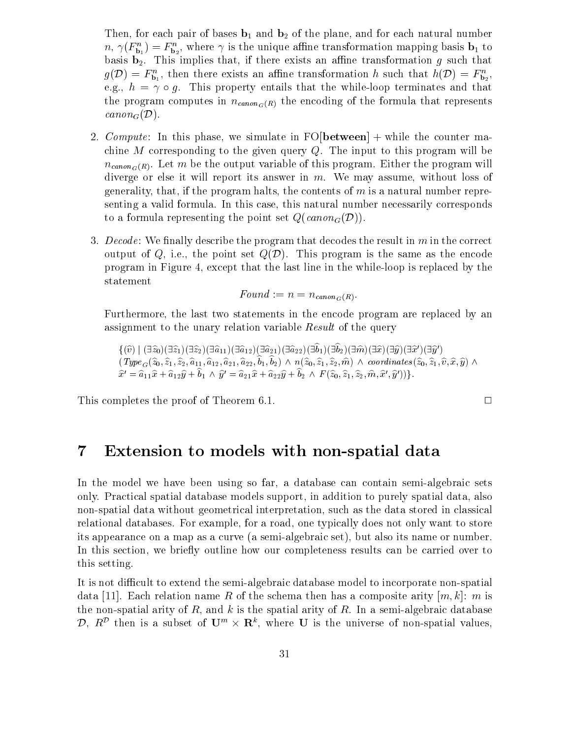Then, for each pair of bases  $\mathbf{b}_1$  and  $\mathbf{b}_2$  of the plane, and for each natural number  $n, \gamma(\mathbf{r}_{\mathbf{b}_1}) = \mathbf{r}_{\mathbf{b}_2}$ , where  $\gamma$  is the unique annie transformation mapping basis  $\mathbf{b}_1$  to basis  $\mathbf{b}_2$ . This implies that, if there exists an affine transformation g such that  $g(D) = F_{\mathbf{b}_1}$ , then there exists an annie transformation h such that  $h(D) = F_{\mathbf{b}_2}$ , e.g.,  $h = \gamma \circ g$ . This property entails that the while-loop terminates and that the program computes in  $n_{cano_n G(R)}$  the encoding of the formula that represents  $cano_n(\mathcal{D})$ .

- 2. Compute: In this phase, we simulate in  $FO[between] +$  while the counter machine M corresponding to the given query  $Q$ . The input to this program will be  $n_{cannon_G(R)}$ . Let m be the output variable of this program. Either the program will diverge or else it will report its answer in  $m$ . We may assume, without loss of generality, that, if the program halts, the contents of  $m$  is a natural number representing a valid formula. In this case, this natural number necessarily corresponds to a formula representing the point set  $Q(cano_n(\mathcal{D}))$ .
- Decode We nally describe the program that decodes the result in m in the correct output of Q, i.e., the point set  $Q(D)$ . This program is the same as the encode program in Figure 4, except that the last line in the while-loop is replaced by the statement

$$
Found := n = n_{canon_G(R)}.
$$

Furthermore, the last two statements in the encode program are replaced by an assignment to the unary relation variable Result of the query

 $\{ \{v\} \mid (\exists z_0)(\exists z_1)(\exists z_2)(\exists a_{11})(\exists a_{12})(\exists a_{21})(\exists a_{22})(\exists v_1)(\exists v_2)(\exists w)(\exists x)(\exists y)$  $T_1 \cup T_2 \cup T_3 \cup T_2 \cup T_1 \cup T_2 \cup T_3 \cup T_4 \cup T_2 \cup T_3 \cup T_4 \cup T_5 \cup T_6 \cup T_7 \cup T_8 \cup T_9 \cup T_1 \cup T_2 \cup T_3 \cup T_4 \cup T_5 \cup T_6 \cup T_7 \cup T_8 \cup T_9 \cup T_1 \cup T_2 \cup T_3 \cup T_4 \cup T_5 \cup T_6 \cup T_7 \cup T_8 \cup T_9 \cup T_1 \cup T_2 \cup T_3 \cup T_4 \cup T_5 \cup T_6 \cup T_7 \cup T_8 \cup T_9 \cup T_1 \cup$  $x = a_{11}x + a_{12}y + b_1 \wedge y = a_{21}x + a_{22}y + b_2 \wedge r(z_0, z_1, z_2, m, x, y)$ 

This completes the proof of Theorem 6.1.

## . Extension to models with non-text with non-text with non-text with  $\sim$

In the model we have been using so far, a database can contain semi-algebraic sets only Practical spatial database models support in addition to purely spatial data also non-spatial data without geometrical interpretation, such as the data stored in classical relational databases. For example, for a road, one typically does not only want to store its appearance on a map as a curve (a semi-algebraic set), but also its name or number. In this section, we briefly outline how our completeness results can be carried over to this setting

It is not difficult to extend the semi-algebraic database model to incorporate non-spatial data [11]. Each relation name R of the schema then has a composite arity  $[m, k]$ : m is the non-spatial arity of  $R$ , and  $k$  is the spatial arity of  $R$ . In a semi-algebraic database  $\nu$ ,  $\kappa^*$  then is a subset of  $\mathbf{U}^m \times \mathbf{R}^s$ , where  $\mathbf{U}$  is the universe of non-spatial values,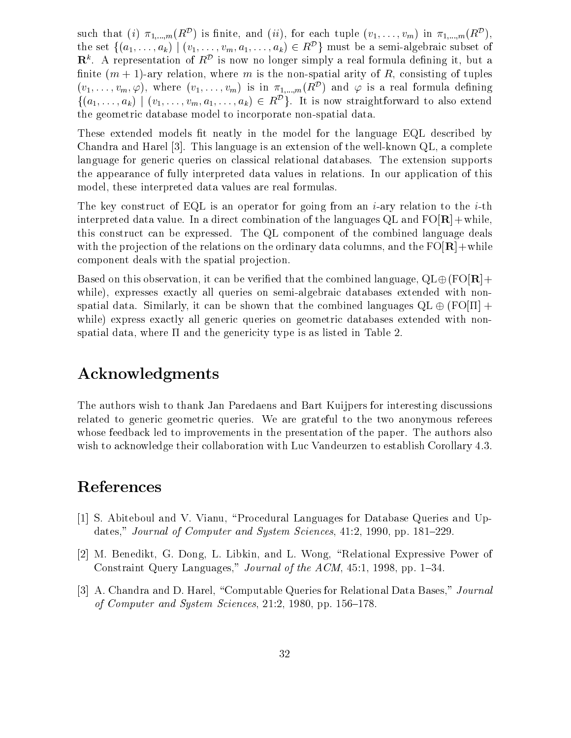such that  $(i)$   $\pi_{1,...,m}(K^-)$  is limite, and  $(ii)$ , for each tuple  $(v_1,\ldots,v_m)$  in  $\pi_{1,...,m}(K^-)$ , the set  $\{(a_1,\ldots,a_k) \mid (v_1,\ldots,v_m,a_1,\ldots,a_k) \in R^+ \}$  must be a semi-algebraic subset of  ${\bf K}$ . A representation of  $K^-$  is now no longer simply a real formula denning it, but a finite  $(m + 1)$ -ary relation, where m is the non-spatial arity of R, consisting of tuples  $(v_1,\ldots,v_m,\varphi),$  where  $(v_1,\ldots,v_m)$  is in  $\pi_{1,\ldots,m}(\bm{\kappa})$  and  $\varphi$  is a real formula defining  $\{(a_1,\ldots,a_k) \mid (v_1,\ldots,v_m,a_1,\ldots,a_k) \in K^* \}$ . It is now straightforward to also extend the geometric database model to incorporate non-spatial data.

These extended models fit neatly in the model for the language EQL described by Chandra and Harel - This language is an extension of the wellknown QL a complete language for generic queries on classical relational databases The extension supports the appearance of fully interpreted data values in relations In our application of this model, these interpreted data values are real formulas.

The key construct of EQL is an operator for going from an *i*-ary relation to the *i*-th interpreted data value. In a direct combination of the languages  $QL$  and  $FO[R] + while$ , this construct can be expressed The QL component of the combined language deals with the projection of the relations on the ordinary data columns, and the  $FO[\mathbf{R}]$ +while component deals with the spatial projection.

Based on this observation, it can be verified that the combined language,  $QL \oplus (FO[**R**] +$ while), expresses exactly all queries on semi-algebraic databases extended with nonspatial data. Similarly, it can be shown that the combined languages  $QL \oplus (FO[ $\Pi$ ] +$ while) express exactly all generic queries on geometric databases extended with nonspatial data, where  $\Pi$  and the genericity type is as listed in Table 2.

# Acknowledgments

The authors wish to thank Jan Paredaens and Bart Kuijpers for interesting discussions related to generic geometric queries We are grateful to the two anonymous referees whose feedback led to improvements in the presentation of the paper The authors also wish to activities with Luc Collars collars to establish Corollary and Luc Vandeurzen to establish Corollary C

# References

- [1] S. Abiteboul and V. Vianu, "Procedural Languages for Database Queries and Updates Journal of Computer and System System Secretary and System System System System System System System System System System System System System System System System System System System System System System System Sys
- [2] M. Benedikt, G. Dong, L. Libkin, and L. Wong, "Relational Expressive Power of constraints query — in group to a written the Charles County of the ACM  $\sim$
- , and and decrease and Data Bases for Relationship for Relationship and Data Bases of Relationship and Order D of Computer and System Secretary (System System Sciences System System System System System System System System System System System System System System System System System System System System System System System Syst